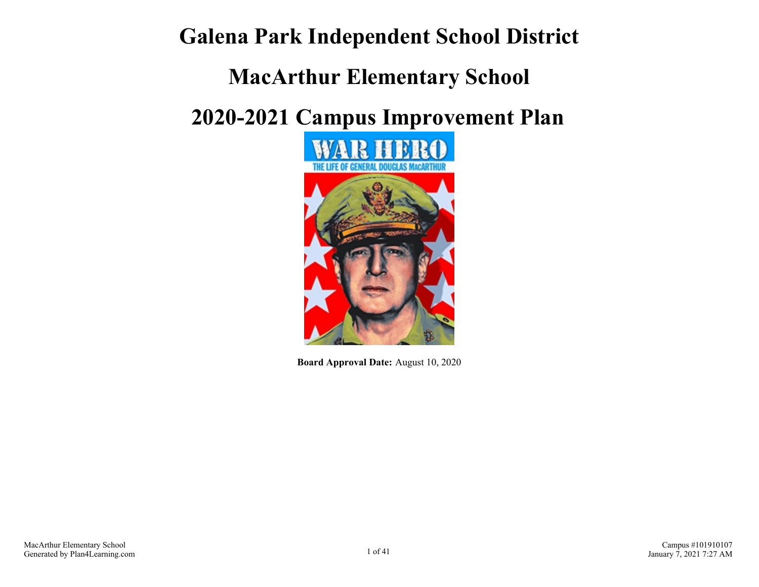## **Galena Park Independent School District**

## **MacArthur Elementary School**

# **2020-2021 Campus Improvement Plan**



**Board Approval Date:** August 10, 2020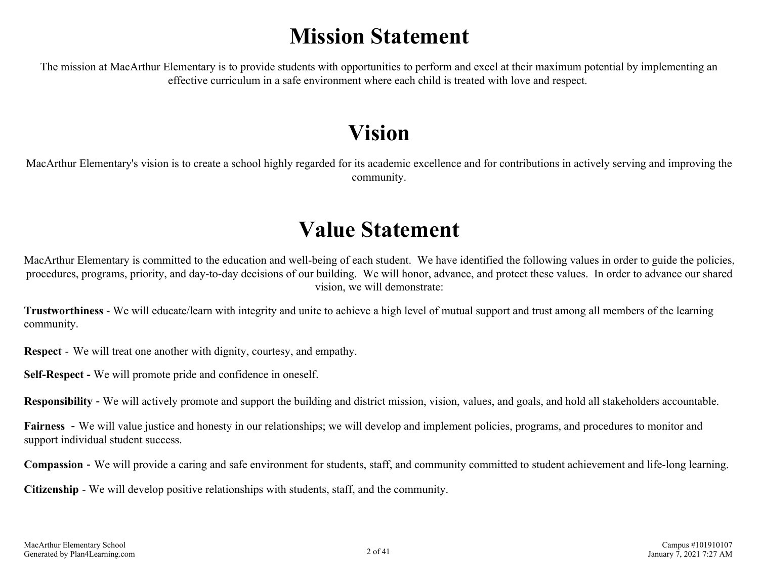## **Mission Statement**

The mission at MacArthur Elementary is to provide students with opportunities to perform and excel at their maximum potential by implementing an effective curriculum in a safe environment where each child is treated with love and respect.

## **Vision**

MacArthur Elementary's vision is to create a school highly regarded for its academic excellence and for contributions in actively serving and improving the community.

## **Value Statement**

MacArthur Elementary is committed to the education and well-being of each student. We have identified the following values in order to guide the policies, procedures, programs, priority, and day-to-day decisions of our building. We will honor, advance, and protect these values. In order to advance our shared vision, we will demonstrate:

**Trustworthiness** - We will educate/learn with integrity and unite to achieve a high level of mutual support and trust among all members of the learning community.

**Respect** - We will treat one another with dignity, courtesy, and empathy.

**Self-Respect -** We will promote pride and confidence in oneself.

**Responsibility** - We will actively promote and support the building and district mission, vision, values, and goals, and hold all stakeholders accountable.

**Fairness** - We will value justice and honesty in our relationships; we will develop and implement policies, programs, and procedures to monitor and support individual student success.

**Compassion** - We will provide a caring and safe environment for students, staff, and community committed to student achievement and life-long learning.

**Citizenship** - We will develop positive relationships with students, staff, and the community.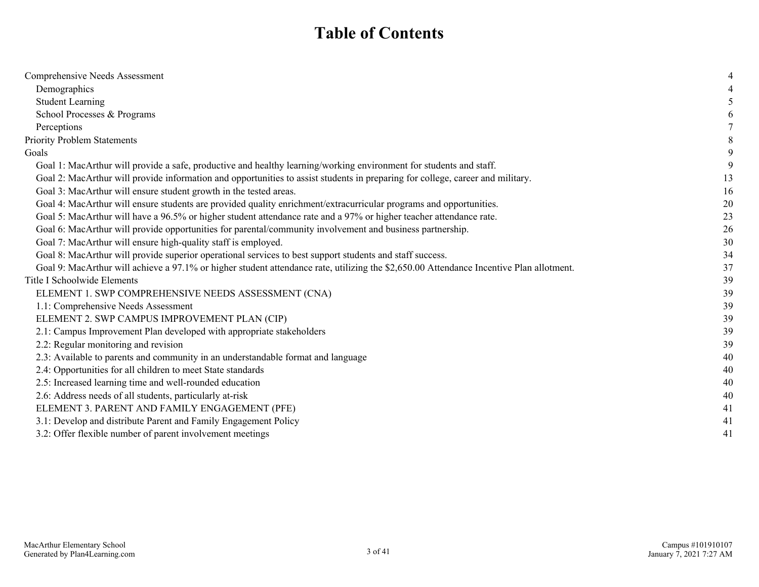## **Table of Contents**

| Comprehensive Needs Assessment                                                                                                          |    |
|-----------------------------------------------------------------------------------------------------------------------------------------|----|
| Demographics                                                                                                                            |    |
| <b>Student Learning</b>                                                                                                                 |    |
| School Processes & Programs                                                                                                             |    |
| Perceptions                                                                                                                             |    |
| <b>Priority Problem Statements</b>                                                                                                      |    |
| Goals                                                                                                                                   | 9  |
| Goal 1: MacArthur will provide a safe, productive and healthy learning/working environment for students and staff.                      |    |
| Goal 2: MacArthur will provide information and opportunities to assist students in preparing for college, career and military.          | 13 |
| Goal 3: MacArthur will ensure student growth in the tested areas.                                                                       | 16 |
| Goal 4: MacArthur will ensure students are provided quality enrichment/extracurricular programs and opportunities.                      | 20 |
| Goal 5: MacArthur will have a 96.5% or higher student attendance rate and a 97% or higher teacher attendance rate.                      | 23 |
| Goal 6: MacArthur will provide opportunities for parental/community involvement and business partnership.                               | 26 |
| Goal 7: MacArthur will ensure high-quality staff is employed.                                                                           | 30 |
| Goal 8: MacArthur will provide superior operational services to best support students and staff success.                                | 34 |
| Goal 9: MacArthur will achieve a 97.1% or higher student attendance rate, utilizing the \$2,650.00 Attendance Incentive Plan allotment. | 37 |
| Title I Schoolwide Elements                                                                                                             | 39 |
| ELEMENT 1. SWP COMPREHENSIVE NEEDS ASSESSMENT (CNA)                                                                                     | 39 |
| 1.1: Comprehensive Needs Assessment                                                                                                     | 39 |
| ELEMENT 2. SWP CAMPUS IMPROVEMENT PLAN (CIP)                                                                                            | 39 |
| 2.1: Campus Improvement Plan developed with appropriate stakeholders                                                                    | 39 |
| 2.2: Regular monitoring and revision                                                                                                    | 39 |
| 2.3: Available to parents and community in an understandable format and language                                                        | 40 |
| 2.4: Opportunities for all children to meet State standards                                                                             | 40 |
| 2.5: Increased learning time and well-rounded education                                                                                 | 40 |
| 2.6: Address needs of all students, particularly at-risk                                                                                | 40 |
| ELEMENT 3. PARENT AND FAMILY ENGAGEMENT (PFE)                                                                                           | 41 |
| 3.1: Develop and distribute Parent and Family Engagement Policy                                                                         | 41 |
| 3.2: Offer flexible number of parent involvement meetings                                                                               | 41 |
|                                                                                                                                         |    |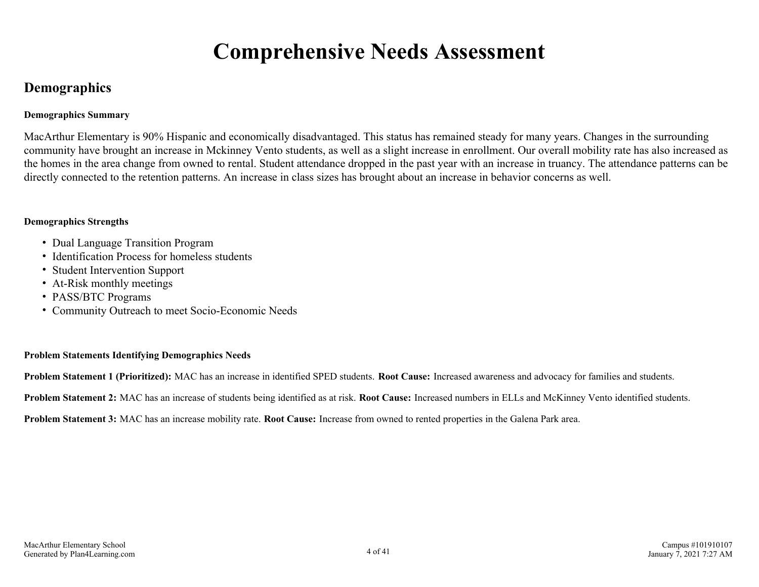## **Comprehensive Needs Assessment**

## <span id="page-3-0"></span>**Demographics**

#### **Demographics Summary**

MacArthur Elementary is 90% Hispanic and economically disadvantaged. This status has remained steady for many years. Changes in the surrounding community have brought an increase in Mckinney Vento students, as well as a slight increase in enrollment. Our overall mobility rate has also increased as the homes in the area change from owned to rental. Student attendance dropped in the past year with an increase in truancy. The attendance patterns can be directly connected to the retention patterns. An increase in class sizes has brought about an increase in behavior concerns as well.

#### **Demographics Strengths**

- Dual Language Transition Program
- Identification Process for homeless students
- Student Intervention Support
- At-Risk monthly meetings
- PASS/BTC Programs
- Community Outreach to meet Socio-Economic Needs

#### **Problem Statements Identifying Demographics Needs**

**Problem Statement 1 (Prioritized):** MAC has an increase in identified SPED students. **Root Cause:** Increased awareness and advocacy for families and students.

**Problem Statement 2:** MAC has an increase of students being identified as at risk. **Root Cause:** Increased numbers in ELLs and McKinney Vento identified students.

**Problem Statement 3:** MAC has an increase mobility rate. **Root Cause:** Increase from owned to rented properties in the Galena Park area.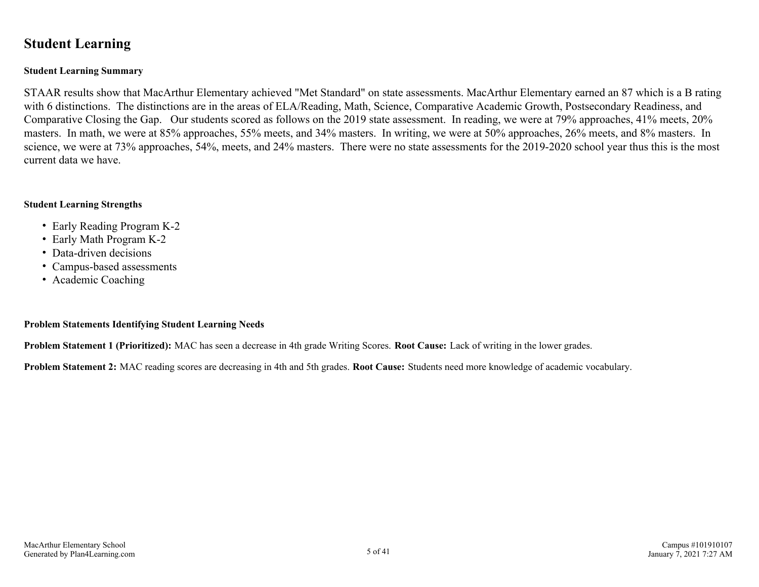### <span id="page-4-0"></span>**Student Learning**

#### **Student Learning Summary**

STAAR results show that MacArthur Elementary achieved "Met Standard" on state assessments. MacArthur Elementary earned an 87 which is a B rating with 6 distinctions. The distinctions are in the areas of ELA/Reading, Math, Science, Comparative Academic Growth, Postsecondary Readiness, and Comparative Closing the Gap. Our students scored as follows on the 2019 state assessment. In reading, we were at 79% approaches, 41% meets, 20% masters. In math, we were at 85% approaches, 55% meets, and 34% masters. In writing, we were at 50% approaches, 26% meets, and 8% masters. In science, we were at 73% approaches, 54%, meets, and 24% masters. There were no state assessments for the 2019-2020 school year thus this is the most current data we have.

#### **Student Learning Strengths**

- Early Reading Program K-2
- Early Math Program K-2
- Data-driven decisions
- Campus-based assessments
- Academic Coaching

#### **Problem Statements Identifying Student Learning Needs**

**Problem Statement 1 (Prioritized):** MAC has seen a decrease in 4th grade Writing Scores. **Root Cause:** Lack of writing in the lower grades.

**Problem Statement 2:** MAC reading scores are decreasing in 4th and 5th grades. **Root Cause:** Students need more knowledge of academic vocabulary.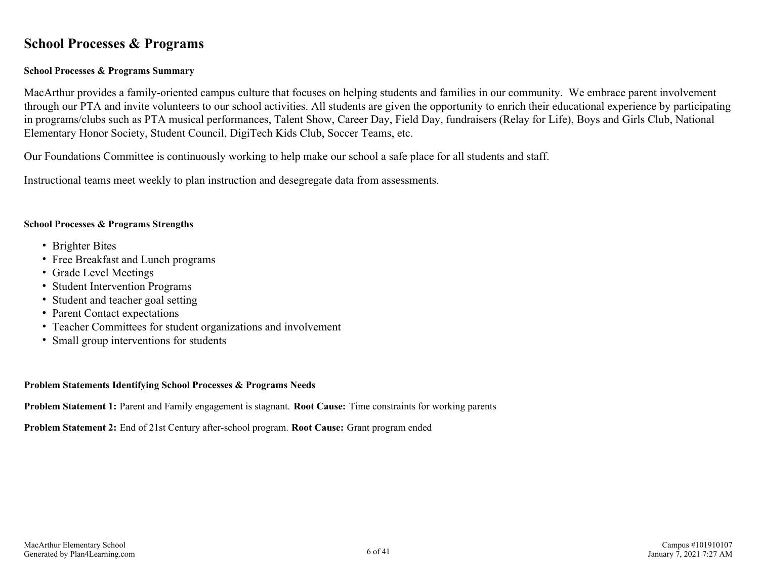### <span id="page-5-0"></span>**School Processes & Programs**

#### **School Processes & Programs Summary**

MacArthur provides a family-oriented campus culture that focuses on helping students and families in our community. We embrace parent involvement through our PTA and invite volunteers to our school activities. All students are given the opportunity to enrich their educational experience by participating in programs/clubs such as PTA musical performances, Talent Show, Career Day, Field Day, fundraisers (Relay for Life), Boys and Girls Club, National Elementary Honor Society, Student Council, DigiTech Kids Club, Soccer Teams, etc.

Our Foundations Committee is continuously working to help make our school a safe place for all students and staff.

Instructional teams meet weekly to plan instruction and desegregate data from assessments.

#### **School Processes & Programs Strengths**

- Brighter Bites
- Free Breakfast and Lunch programs
- Grade Level Meetings
- Student Intervention Programs
- Student and teacher goal setting
- Parent Contact expectations
- Teacher Committees for student organizations and involvement
- Small group interventions for students

#### **Problem Statements Identifying School Processes & Programs Needs**

**Problem Statement 1:** Parent and Family engagement is stagnant. **Root Cause:** Time constraints for working parents

**Problem Statement 2:** End of 21st Century after-school program. **Root Cause:** Grant program ended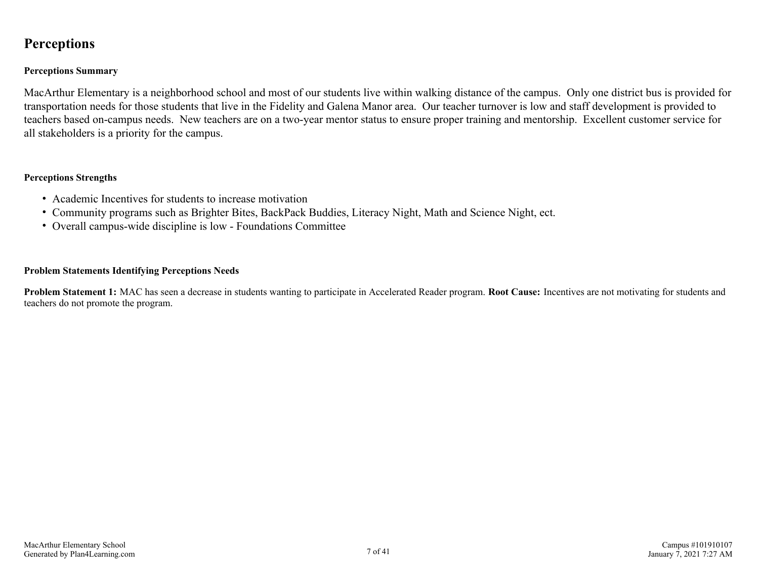## <span id="page-6-0"></span>**Perceptions**

#### **Perceptions Summary**

MacArthur Elementary is a neighborhood school and most of our students live within walking distance of the campus. Only one district bus is provided for transportation needs for those students that live in the Fidelity and Galena Manor area. Our teacher turnover is low and staff development is provided to teachers based on-campus needs. New teachers are on a two-year mentor status to ensure proper training and mentorship. Excellent customer service for all stakeholders is a priority for the campus.

#### **Perceptions Strengths**

- Academic Incentives for students to increase motivation
- Community programs such as Brighter Bites, BackPack Buddies, Literacy Night, Math and Science Night, ect.
- Overall campus-wide discipline is low Foundations Committee

#### **Problem Statements Identifying Perceptions Needs**

**Problem Statement 1:** MAC has seen a decrease in students wanting to participate in Accelerated Reader program. **Root Cause:** Incentives are not motivating for students and teachers do not promote the program.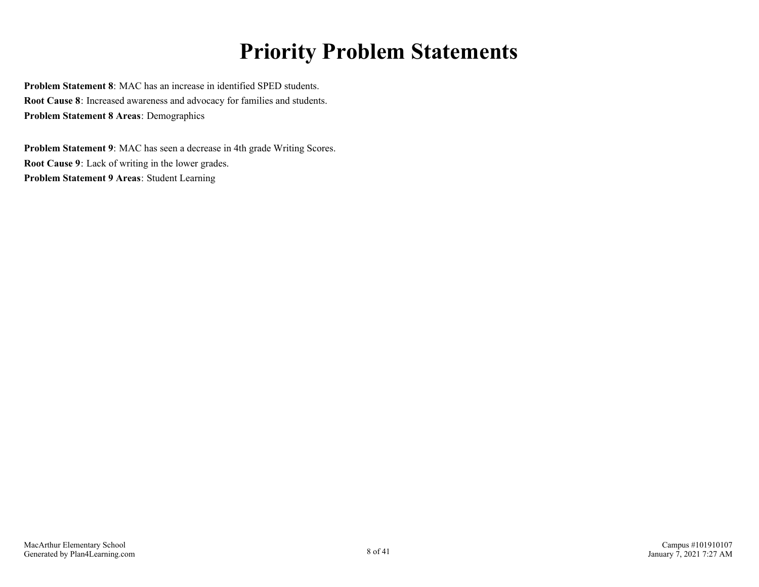## **Priority Problem Statements**

<span id="page-7-0"></span>**Problem Statement 8**: MAC has an increase in identified SPED students. **Root Cause 8**: Increased awareness and advocacy for families and students. **Problem Statement 8 Areas**: Demographics

**Problem Statement 9**: MAC has seen a decrease in 4th grade Writing Scores. **Root Cause 9**: Lack of writing in the lower grades. **Problem Statement 9 Areas**: Student Learning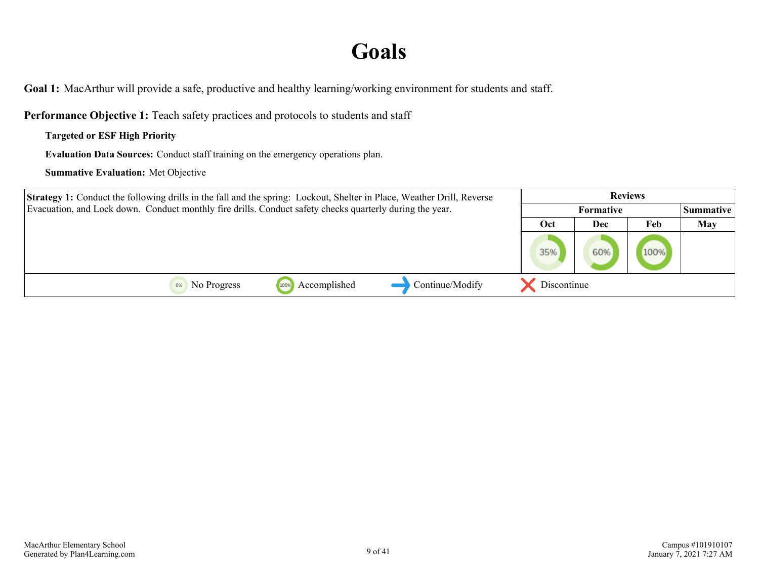## **Goals**

<span id="page-8-0"></span>**Goal 1:** MacArthur will provide a safe, productive and healthy learning/working environment for students and staff.

**Performance Objective 1:** Teach safety practices and protocols to students and staff

**Targeted or ESF High Priority**

**Evaluation Data Sources:** Conduct staff training on the emergency operations plan.

| <b>Strategy 1:</b> Conduct the following drills in the fall and the spring: Lockout, Shelter in Place, Weather Drill, Reverse | <b>Reviews</b>   |     |      |            |
|-------------------------------------------------------------------------------------------------------------------------------|------------------|-----|------|------------|
| Evacuation, and Lock down. Conduct monthly fire drills. Conduct safety checks quarterly during the year.                      | <b>Formative</b> |     |      | Summative  |
|                                                                                                                               | Oct              | Dec | Feb  | <b>May</b> |
|                                                                                                                               | 35%              | 60% | 100% |            |
| Continue/Modify<br>Accomplished<br>No Progress<br>100%                                                                        | Discontinue      |     |      |            |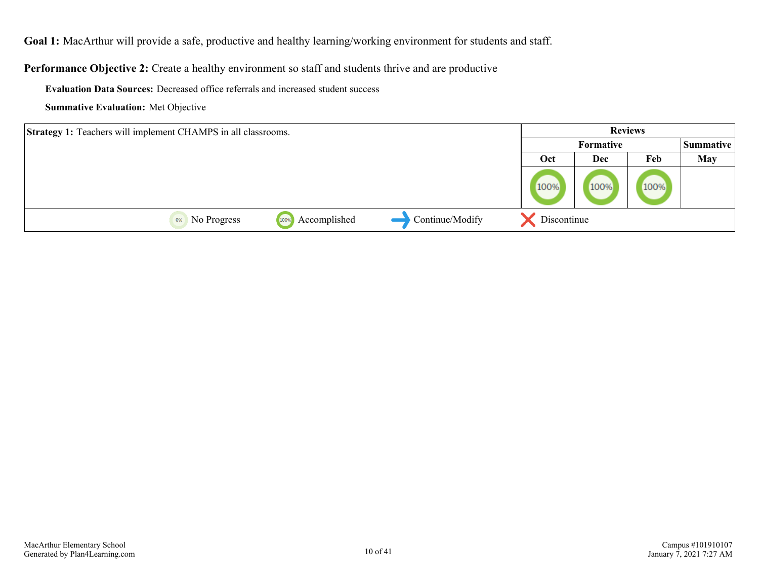**Goal 1:** MacArthur will provide a safe, productive and healthy learning/working environment for students and staff.

**Performance Objective 2:** Create a healthy environment so staff and students thrive and are productive

**Evaluation Data Sources:** Decreased office referrals and increased student success

| <b>Strategy 1:</b> Teachers will implement CHAMPS in all classrooms. |                      |                 | <b>Reviews</b> |                  |      |            |
|----------------------------------------------------------------------|----------------------|-----------------|----------------|------------------|------|------------|
|                                                                      |                      |                 |                | <b>Formative</b> |      |            |
|                                                                      |                      |                 | Oct            | Dec              | Feb  | <b>May</b> |
|                                                                      |                      |                 | 100%           | 100%             | 100% |            |
| No Progress<br>0%                                                    | Accomplished<br>100% | Continue/Modify | Discontinue    |                  |      |            |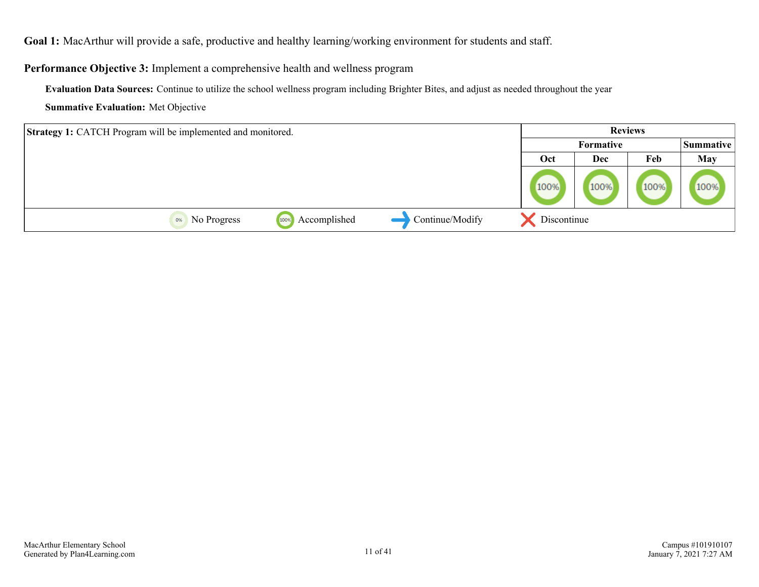**Goal 1:** MacArthur will provide a safe, productive and healthy learning/working environment for students and staff.

**Performance Objective 3:** Implement a comprehensive health and wellness program

**Evaluation Data Sources:** Continue to utilize the school wellness program including Brighter Bites, and adjust as needed throughout the year

| <b>Strategy 1: CATCH Program will be implemented and monitored.</b> |             |                      |                 |             | <b>Reviews</b> |      |            |
|---------------------------------------------------------------------|-------------|----------------------|-----------------|-------------|----------------|------|------------|
|                                                                     |             |                      |                 |             | Formative      |      |            |
|                                                                     |             |                      |                 | Oct         | Dec            | Feb  | <b>May</b> |
|                                                                     |             |                      |                 | 100%        | 100%           | 100% | 100%       |
| 0%                                                                  | No Progress | Accomplished<br>1009 | Continue/Modify | Discontinue |                |      |            |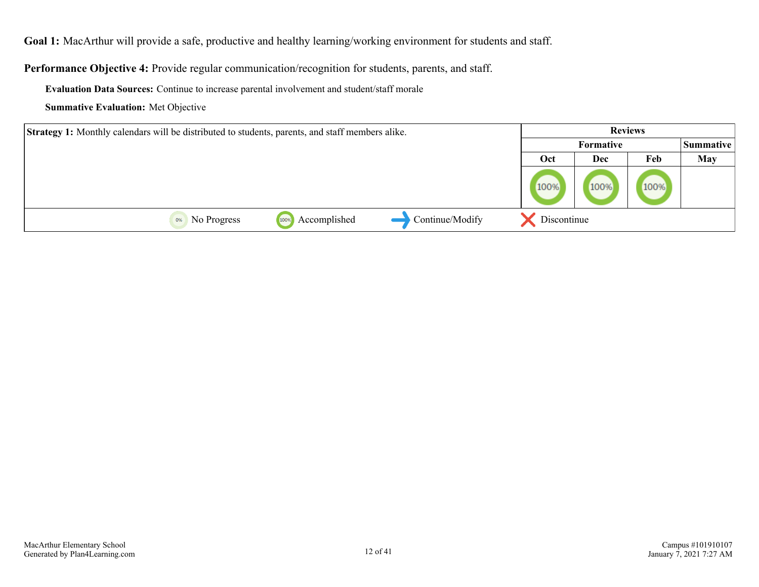**Goal 1:** MacArthur will provide a safe, productive and healthy learning/working environment for students and staff.

**Performance Objective 4:** Provide regular communication/recognition for students, parents, and staff.

**Evaluation Data Sources:** Continue to increase parental involvement and student/staff morale

| <b>Strategy 1:</b> Monthly calendars will be distributed to students, parents, and staff members alike. |      | <b>Reviews</b>                |      |            |
|---------------------------------------------------------------------------------------------------------|------|-------------------------------|------|------------|
|                                                                                                         |      | <b>Summative</b><br>Formative |      |            |
|                                                                                                         | Oct  | Dec                           | Feb  | <b>May</b> |
|                                                                                                         | 100% | 100%                          | 100% |            |
| Continue/Modify<br>Accomplished<br>No Progress<br>0%<br>100%                                            |      | Discontinue                   |      |            |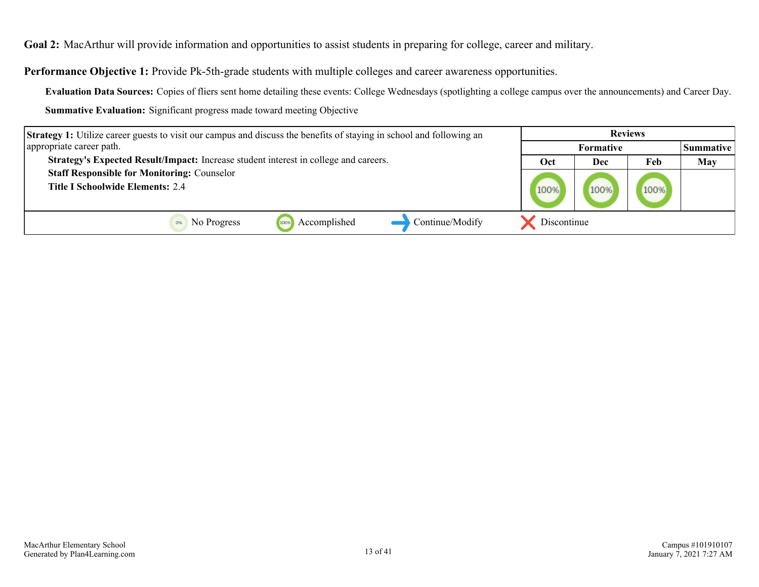<span id="page-12-0"></span>**Goal 2:** MacArthur will provide information and opportunities to assist students in preparing for college, career and military.

**Performance Objective 1:** Provide Pk-5th-grade students with multiple colleges and career awareness opportunities.

**Evaluation Data Sources:** Copies of fliers sent home detailing these events: College Wednesdays (spotlighting a college campus over the announcements) and Career Day.

| <b>Strategy 1:</b> Utilize career guests to visit our campus and discuss the benefits of staying in school and following an | <b>Reviews</b>   |      |      |                  |
|-----------------------------------------------------------------------------------------------------------------------------|------------------|------|------|------------------|
| appropriate career path.                                                                                                    | <b>Formative</b> |      |      | <b>Summative</b> |
| Strategy's Expected Result/Impact: Increase student interest in college and careers.                                        | Oct              | Dec  | Feb  | May              |
| <b>Staff Responsible for Monitoring: Counselor</b><br><b>Title I Schoolwide Elements: 2.4</b>                               | 100%             | 100% | 100% |                  |
| Accomplished<br>Continue/Modify<br>No Progress<br>100%                                                                      | Discontinue      |      |      |                  |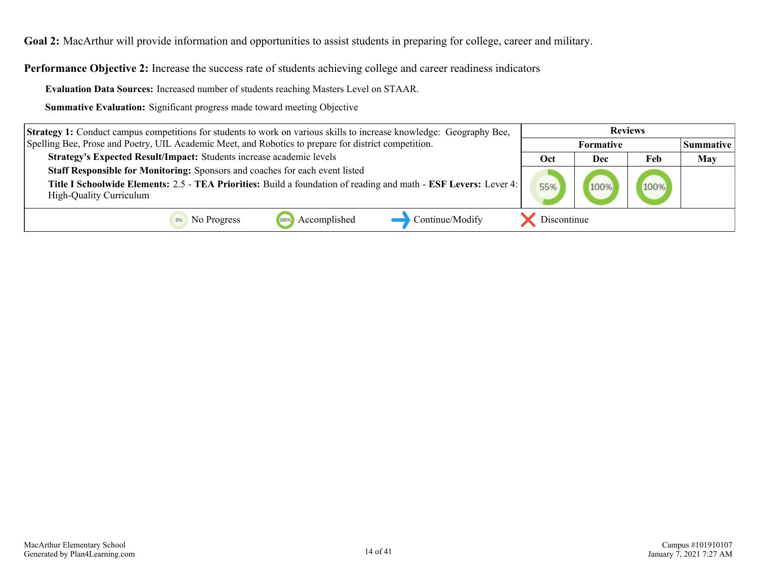**Goal 2:** MacArthur will provide information and opportunities to assist students in preparing for college, career and military.

**Performance Objective 2:** Increase the success rate of students achieving college and career readiness indicators

**Evaluation Data Sources:** Increased number of students reaching Masters Level on STAAR.

| Strategy 1: Conduct campus competitions for students to work on various skills to increase knowledge: Geography Bee, | <b>Reviews</b> |                  |      |                  |
|----------------------------------------------------------------------------------------------------------------------|----------------|------------------|------|------------------|
| Spelling Bee, Prose and Poetry, UIL Academic Meet, and Robotics to prepare for district competition.                 |                | <b>Formative</b> |      | <b>Summative</b> |
| Strategy's Expected Result/Impact: Students increase academic levels                                                 | Oct            | Dec              | Feb  | <b>May</b>       |
| Staff Responsible for Monitoring: Sponsors and coaches for each event listed                                         |                |                  |      |                  |
| Title I Schoolwide Elements: 2.5 - TEA Priorities: Build a foundation of reading and math - ESF Levers: Lever 4:     |                |                  | 100% |                  |
| <b>High-Quality Curriculum</b>                                                                                       |                |                  |      |                  |
| Accomplished<br>Continue/Modify<br>No Progress                                                                       | Discontinue    |                  |      |                  |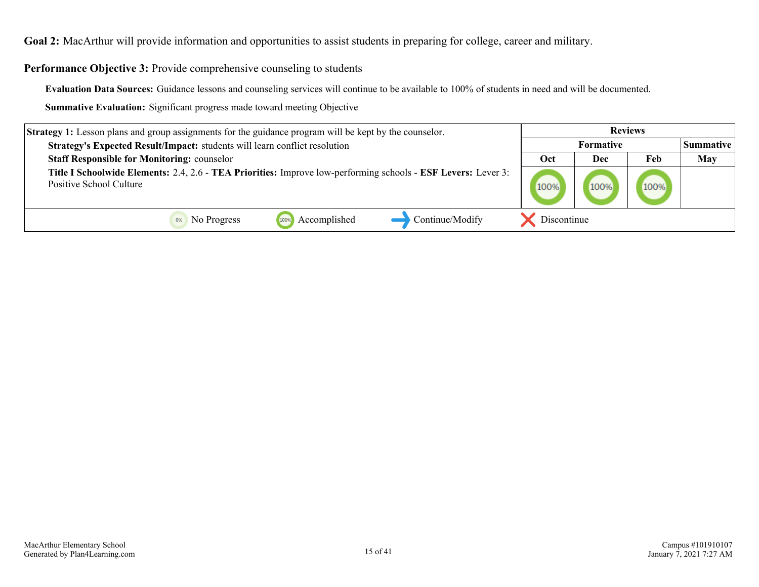**Goal 2:** MacArthur will provide information and opportunities to assist students in preparing for college, career and military.

**Performance Objective 3:** Provide comprehensive counseling to students

**Evaluation Data Sources:** Guidance lessons and counseling services will continue to be available to 100% of students in need and will be documented.

| <b>Strategy 1:</b> Lesson plans and group assignments for the guidance program will be kept by the counselor.                            |                  |     | <b>Reviews</b> |                   |
|------------------------------------------------------------------------------------------------------------------------------------------|------------------|-----|----------------|-------------------|
| Strategy's Expected Result/Impact: students will learn conflict resolution                                                               | <b>Formative</b> |     |                | <b> Summative</b> |
| <b>Staff Responsible for Monitoring: counselor</b>                                                                                       | Oct              | Dec | Feb            | <b>May</b>        |
| Title I Schoolwide Elements: 2.4, 2.6 - TEA Priorities: Improve low-performing schools - ESF Levers: Lever 3:<br>Positive School Culture | 100%             |     | 100%           |                   |
| Continue/Modify<br>Accomplished<br>No Progress                                                                                           | Discontinue      |     |                |                   |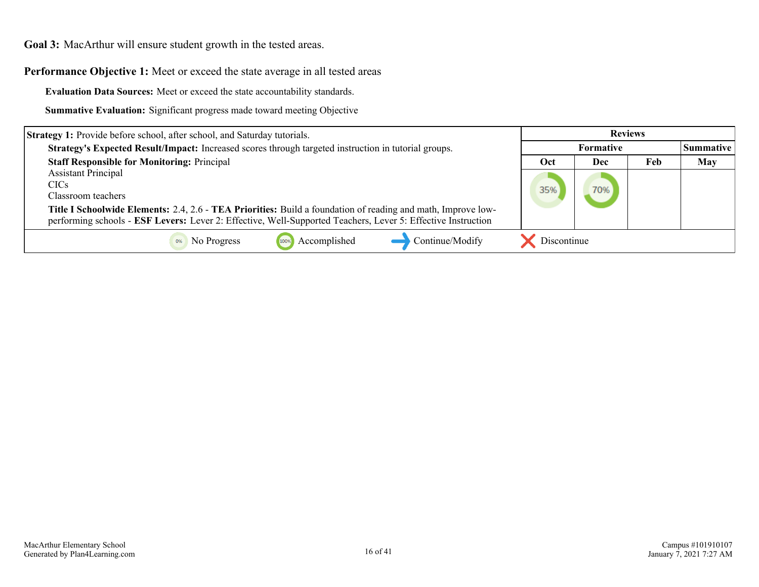<span id="page-15-0"></span>**Performance Objective 1:** Meet or exceed the state average in all tested areas

**Evaluation Data Sources:** Meet or exceed the state accountability standards.

| <b>Strategy 1:</b> Provide before school, after school, and Saturday tutorials.                              | <b>Reviews</b>   |     |     |            |
|--------------------------------------------------------------------------------------------------------------|------------------|-----|-----|------------|
| Strategy's Expected Result/Impact: Increased scores through targeted instruction in tutorial groups.         | <b>Formative</b> |     |     | Summative  |
| <b>Staff Responsible for Monitoring: Principal</b>                                                           | Oct              | Dec | Feb | <b>May</b> |
| <b>Assistant Principal</b>                                                                                   |                  |     |     |            |
| <b>CICs</b>                                                                                                  |                  | 70% |     |            |
| Classroom teachers                                                                                           |                  |     |     |            |
| Title I Schoolwide Elements: 2.4, 2.6 - TEA Priorities: Build a foundation of reading and math, Improve low- |                  |     |     |            |
| performing schools - ESF Levers: Lever 2: Effective, Well-Supported Teachers, Lever 5: Effective Instruction |                  |     |     |            |
| Continue/Modify<br>Accomplished<br>No Progress<br>100%                                                       | Discontinue      |     |     |            |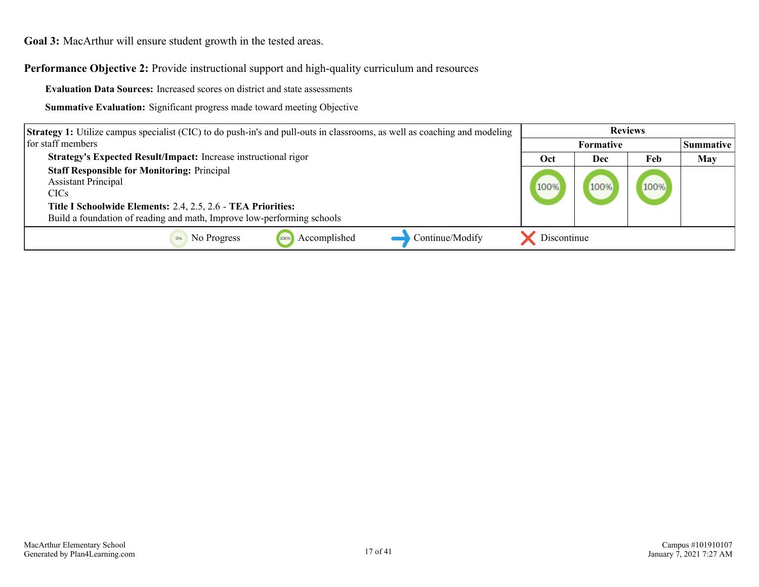**Performance Objective 2:** Provide instructional support and high-quality curriculum and resources

**Evaluation Data Sources:** Increased scores on district and state assessments

| <b>Strategy 1:</b> Utilize campus specialist (CIC) to do push-in's and pull-outs in classrooms, as well as coaching and modeling                                                                                                               | <b>Reviews</b> |                  |      |                  |
|------------------------------------------------------------------------------------------------------------------------------------------------------------------------------------------------------------------------------------------------|----------------|------------------|------|------------------|
| for staff members                                                                                                                                                                                                                              |                | <b>Formative</b> |      | <b>Summative</b> |
| Strategy's Expected Result/Impact: Increase instructional rigor                                                                                                                                                                                | Oct            | Dec              | Feb  | <b>May</b>       |
| <b>Staff Responsible for Monitoring: Principal</b><br><b>Assistant Principal</b><br>CIC <sub>s</sub><br>Title I Schoolwide Elements: 2.4, 2.5, 2.6 - TEA Priorities:<br>Build a foundation of reading and math, Improve low-performing schools | 100%           | 100%             | 100% |                  |
| Accomplished<br>Continue/Modify<br>No Progress<br>100%                                                                                                                                                                                         | Discontinue    |                  |      |                  |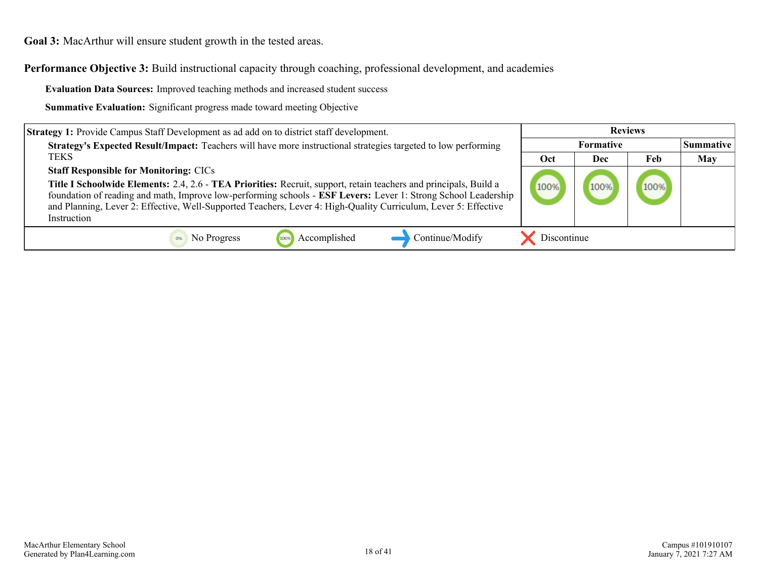**Performance Objective 3:** Build instructional capacity through coaching, professional development, and academies

**Evaluation Data Sources:** Improved teaching methods and increased student success

| <b>Strategy 1:</b> Provide Campus Staff Development as ad add on to district staff development.                                                                                                                                                                                                                                                                       | <b>Reviews</b>   |      |      |                  |
|-----------------------------------------------------------------------------------------------------------------------------------------------------------------------------------------------------------------------------------------------------------------------------------------------------------------------------------------------------------------------|------------------|------|------|------------------|
| Strategy's Expected Result/Impact: Teachers will have more instructional strategies targeted to low performing                                                                                                                                                                                                                                                        | <b>Formative</b> |      |      | <b>Summative</b> |
| <b>TEKS</b>                                                                                                                                                                                                                                                                                                                                                           | Oct              | Dec  | Feb  | <b>May</b>       |
| <b>Staff Responsible for Monitoring: CICs</b>                                                                                                                                                                                                                                                                                                                         |                  |      |      |                  |
| Title I Schoolwide Elements: 2.4, 2.6 - TEA Priorities: Recruit, support, retain teachers and principals, Build a<br>foundation of reading and math, Improve low-performing schools - ESF Levers: Lever 1: Strong School Leadership<br>and Planning, Lever 2: Effective, Well-Supported Teachers, Lever 4: High-Quality Curriculum, Lever 5: Effective<br>Instruction | 100%             | 100% | 100% |                  |
| Accomplished<br>Continue/Modify<br>No Progress                                                                                                                                                                                                                                                                                                                        | Discontinue      |      |      |                  |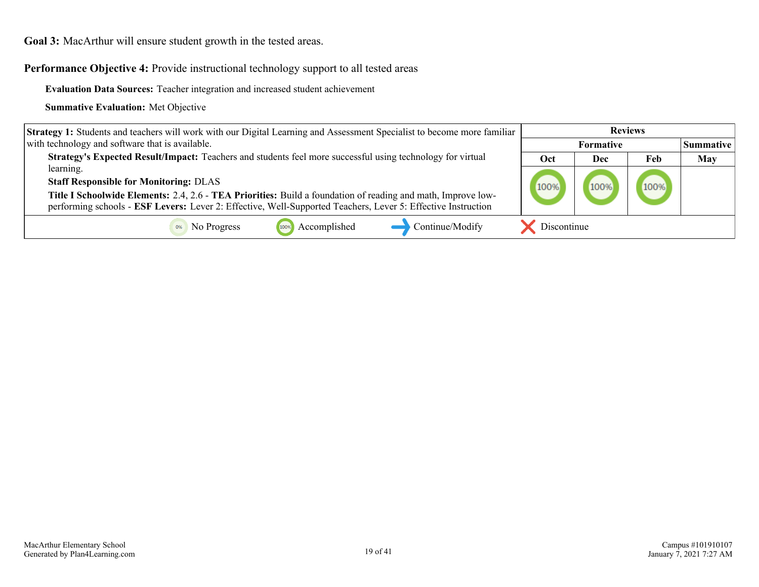**Performance Objective 4:** Provide instructional technology support to all tested areas

**Evaluation Data Sources:** Teacher integration and increased student achievement

| <b>Strategy 1:</b> Students and teachers will work with our Digital Learning and Assessment Specialist to become more familiar                                                                                               | <b>Reviews</b> |                  |      |                  |
|------------------------------------------------------------------------------------------------------------------------------------------------------------------------------------------------------------------------------|----------------|------------------|------|------------------|
| with technology and software that is available.                                                                                                                                                                              |                | <b>Formative</b> |      | <b>Summative</b> |
| Strategy's Expected Result/Impact: Teachers and students feel more successful using technology for virtual                                                                                                                   | Oct            | Dec              | Feb  | <b>May</b>       |
| learning.                                                                                                                                                                                                                    |                |                  |      |                  |
| <b>Staff Responsible for Monitoring: DLAS</b>                                                                                                                                                                                | 100%           | 100%             | 100% |                  |
| Title I Schoolwide Elements: 2.4, 2.6 - TEA Priorities: Build a foundation of reading and math, Improve low-<br>performing schools - ESF Levers: Lever 2: Effective, Well-Supported Teachers, Lever 5: Effective Instruction |                |                  |      |                  |
| Continue/Modify<br>Accomplished<br>No Progress<br>100%                                                                                                                                                                       | Discontinue    |                  |      |                  |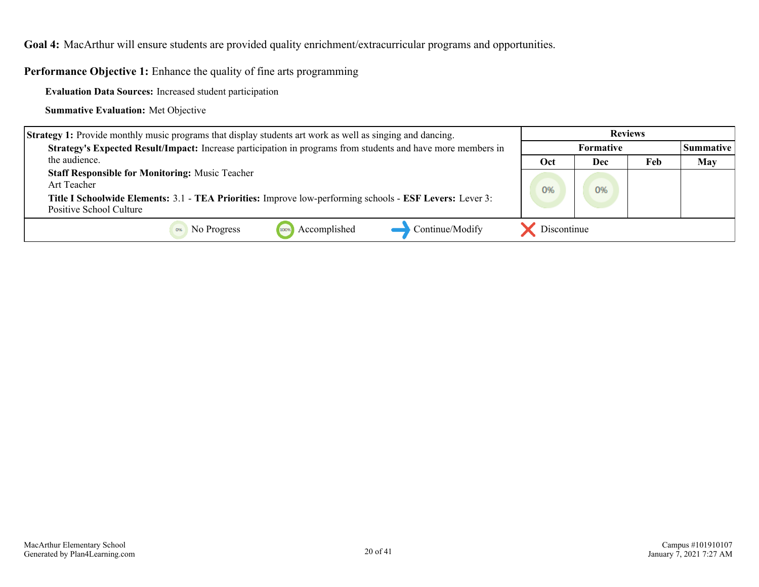<span id="page-19-0"></span>**Goal 4:** MacArthur will ensure students are provided quality enrichment/extracurricular programs and opportunities.

**Performance Objective 1:** Enhance the quality of fine arts programming

**Evaluation Data Sources:** Increased student participation

| <b>Strategy 1:</b> Provide monthly music programs that display students art work as well as singing and dancing.                                                                                             | <b>Reviews</b>   |     |     |                  |
|--------------------------------------------------------------------------------------------------------------------------------------------------------------------------------------------------------------|------------------|-----|-----|------------------|
| Strategy's Expected Result/Impact: Increase participation in programs from students and have more members in                                                                                                 | <b>Formative</b> |     |     | <b>Summative</b> |
| the audience.                                                                                                                                                                                                | Oct              | Dec | Feb | <b>May</b>       |
| <b>Staff Responsible for Monitoring: Music Teacher</b><br>Art Teacher<br>Title I Schoolwide Elements: 3.1 - TEA Priorities: Improve low-performing schools - ESF Levers: Lever 3:<br>Positive School Culture | 0%               | 0%  |     |                  |
| Continue/Modify<br>Accomplished<br>No Progress<br>100%                                                                                                                                                       | Discontinue      |     |     |                  |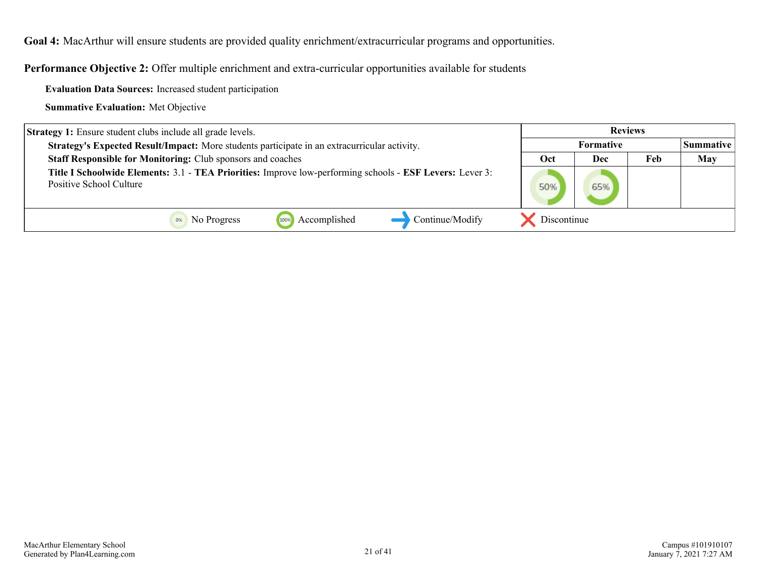**Goal 4:** MacArthur will ensure students are provided quality enrichment/extracurricular programs and opportunities.

**Performance Objective 2:** Offer multiple enrichment and extra-curricular opportunities available for students

**Evaluation Data Sources:** Increased student participation

| <b>Strategy 1:</b> Ensure student clubs include all grade levels.                                                                   |             |     |     |                    |
|-------------------------------------------------------------------------------------------------------------------------------------|-------------|-----|-----|--------------------|
| Strategy's Expected Result/Impact: More students participate in an extracurricular activity.                                        | Formative   |     |     | <b>Summative</b> I |
| <b>Staff Responsible for Monitoring: Club sponsors and coaches</b>                                                                  | Oct         | Dec | Feb | <b>May</b>         |
| Title I Schoolwide Elements: 3.1 - TEA Priorities: Improve low-performing schools - ESF Levers: Lever 3:<br>Positive School Culture | 50%         | 65% |     |                    |
| Accomplished<br>Continue/Modify<br>No Progress<br>100%                                                                              | Discontinue |     |     |                    |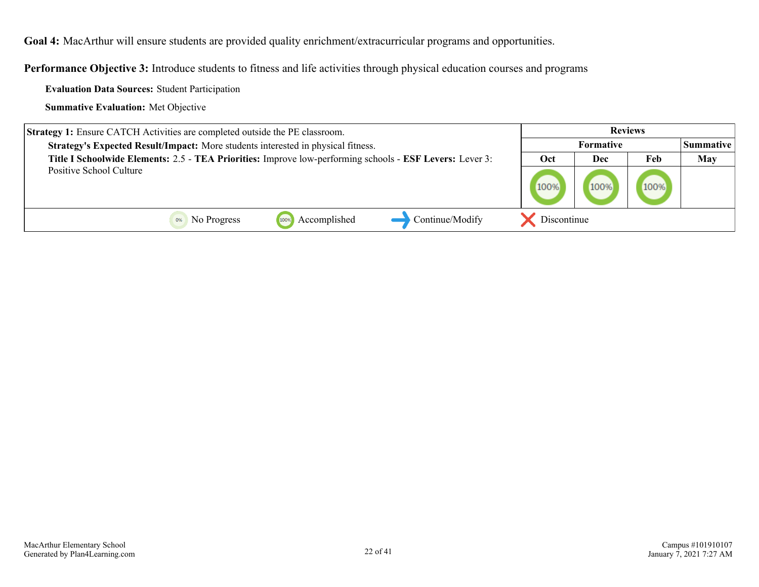**Goal 4:** MacArthur will ensure students are provided quality enrichment/extracurricular programs and opportunities.

**Performance Objective 3:** Introduce students to fitness and life activities through physical education courses and programs

**Evaluation Data Sources:** Student Participation

| <b>Strategy 1:</b> Ensure CATCH Activities are completed outside the PE classroom.                       |             | <b>Reviews</b>   |      |     |
|----------------------------------------------------------------------------------------------------------|-------------|------------------|------|-----|
| Strategy's Expected Result/Impact: More students interested in physical fitness.                         |             | <b>Formative</b> |      |     |
| Title I Schoolwide Elements: 2.5 - TEA Priorities: Improve low-performing schools - ESF Levers: Lever 3: | Oct         | Dec              | Feb  | May |
| Positive School Culture                                                                                  | 100%        |                  | 100% |     |
| Accomplished<br>Continue/Modify<br>No Progress<br>100%                                                   | Discontinue |                  |      |     |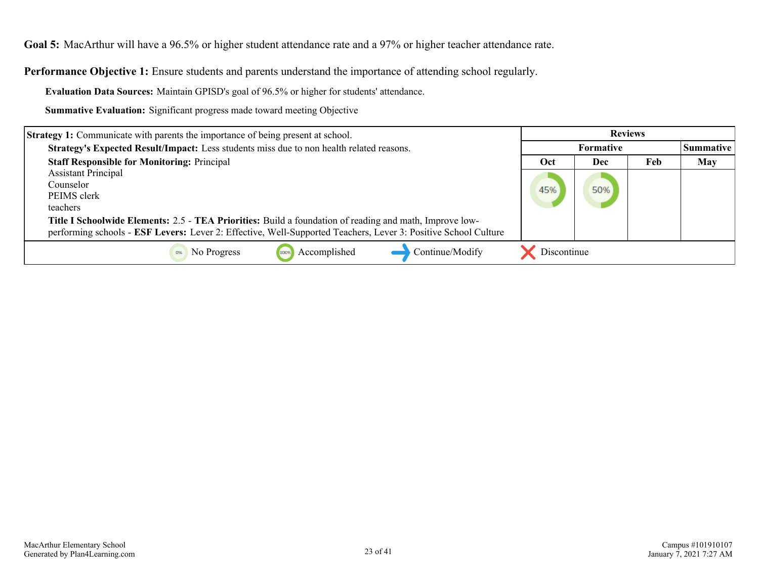<span id="page-22-0"></span>**Goal 5:** MacArthur will have a 96.5% or higher student attendance rate and a 97% or higher teacher attendance rate.

**Performance Objective 1:** Ensure students and parents understand the importance of attending school regularly.

**Evaluation Data Sources:** Maintain GPISD's goal of 96.5% or higher for students' attendance.

| <b>Strategy 1:</b> Communicate with parents the importance of being present at school.                                                                                                                                    | <b>Reviews</b>   |     |     |            |
|---------------------------------------------------------------------------------------------------------------------------------------------------------------------------------------------------------------------------|------------------|-----|-----|------------|
| Strategy's Expected Result/Impact: Less students miss due to non health related reasons.                                                                                                                                  | <b>Formative</b> |     |     | Summative  |
| <b>Staff Responsible for Monitoring: Principal</b>                                                                                                                                                                        | Oct              | Dec | Feb | <b>May</b> |
| <b>Assistant Principal</b>                                                                                                                                                                                                |                  |     |     |            |
| Counselor                                                                                                                                                                                                                 | 45%              | 50% |     |            |
| PEIMS clerk                                                                                                                                                                                                               |                  |     |     |            |
| teachers                                                                                                                                                                                                                  |                  |     |     |            |
| Title I Schoolwide Elements: 2.5 - TEA Priorities: Build a foundation of reading and math, Improve low-<br>performing schools - ESF Levers: Lever 2: Effective, Well-Supported Teachers, Lever 3: Positive School Culture |                  |     |     |            |
| Continue/Modify<br>Accomplished<br>No Progress<br>100%                                                                                                                                                                    | Discontinue      |     |     |            |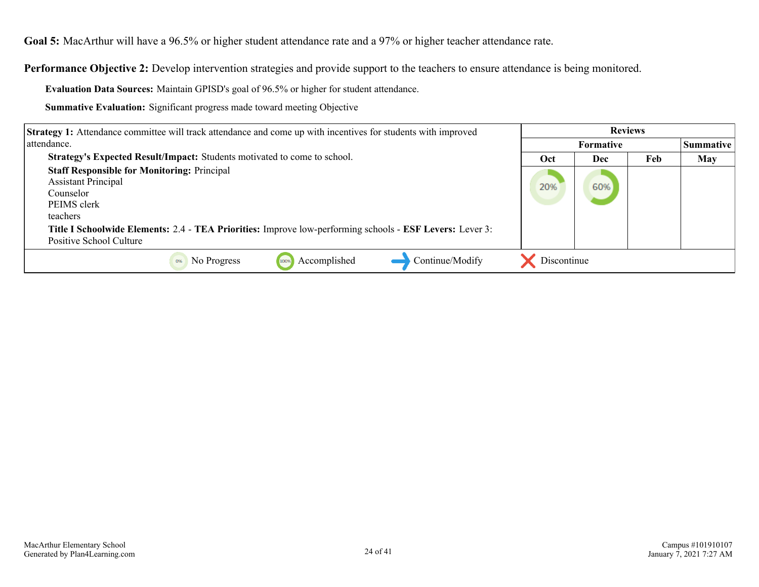**Goal 5:** MacArthur will have a 96.5% or higher student attendance rate and a 97% or higher teacher attendance rate.

**Performance Objective 2:** Develop intervention strategies and provide support to the teachers to ensure attendance is being monitored.

**Evaluation Data Sources:** Maintain GPISD's goal of 96.5% or higher for student attendance.

| <b>Strategy 1:</b> Attendance committee will track attendance and come up with incentives for students with improved                                                                                                                                            | <b>Reviews</b> |                  |     |                  |
|-----------------------------------------------------------------------------------------------------------------------------------------------------------------------------------------------------------------------------------------------------------------|----------------|------------------|-----|------------------|
| attendance.                                                                                                                                                                                                                                                     |                | <b>Formative</b> |     | <b>Summative</b> |
| Strategy's Expected Result/Impact: Students motivated to come to school.                                                                                                                                                                                        | Oct            | Dec              | Feb | May              |
| <b>Staff Responsible for Monitoring: Principal</b><br><b>Assistant Principal</b><br>Counselor<br>PEIMS clerk<br>teachers<br>Title I Schoolwide Elements: 2.4 - TEA Priorities: Improve low-performing schools - ESF Levers: Lever 3:<br>Positive School Culture | 20%            | 60%              |     |                  |
| Accomplished<br>Continue/Modify<br>No Progress<br>0%<br>100%                                                                                                                                                                                                    | Discontinue    |                  |     |                  |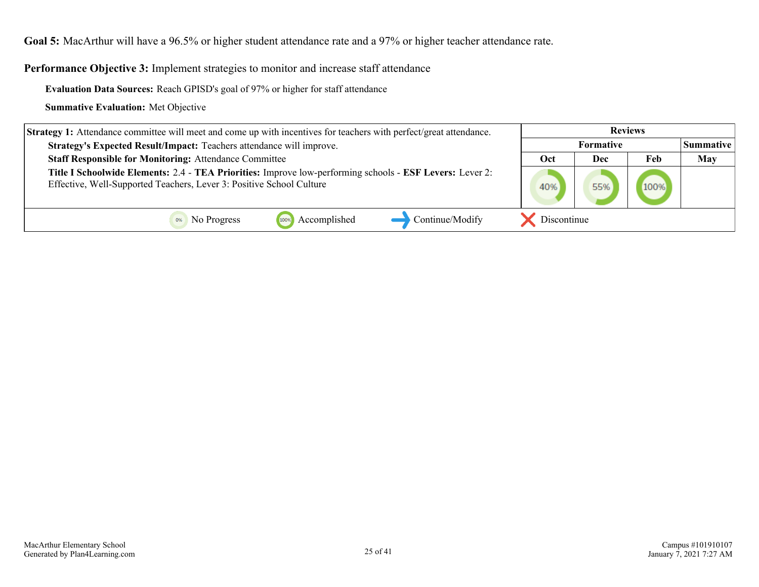**Goal 5:** MacArthur will have a 96.5% or higher student attendance rate and a 97% or higher teacher attendance rate.

Performance Objective 3: Implement strategies to monitor and increase staff attendance

**Evaluation Data Sources:** Reach GPISD's goal of 97% or higher for staff attendance

| <b>Strategy 1:</b> Attendance committee will meet and come up with incentives for teachers with perfect/great attendance.                                                        | <b>Reviews</b>   |     |      |                  |
|----------------------------------------------------------------------------------------------------------------------------------------------------------------------------------|------------------|-----|------|------------------|
| Strategy's Expected Result/Impact: Teachers attendance will improve.                                                                                                             | <b>Formative</b> |     |      | <b>Summative</b> |
| <b>Staff Responsible for Monitoring: Attendance Committee</b>                                                                                                                    | Oct              | Dec | Feb  | <b>May</b>       |
| Title I Schoolwide Elements: 2.4 - TEA Priorities: Improve low-performing schools - ESF Levers: Lever 2:<br>Effective, Well-Supported Teachers, Lever 3: Positive School Culture | 40%              |     | 100% |                  |
| Continue/Modify<br>Accomplished<br>No Progress<br>100%                                                                                                                           | Discontinue      |     |      |                  |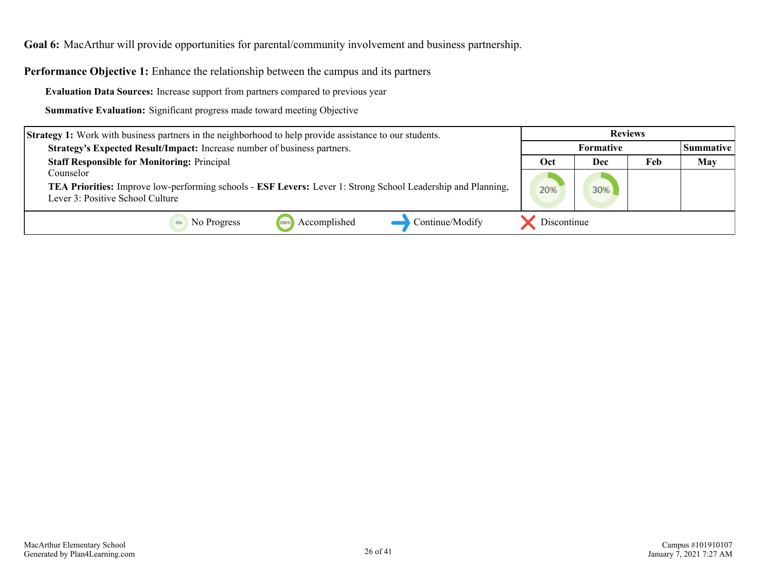<span id="page-25-0"></span>**Performance Objective 1:** Enhance the relationship between the campus and its partners

**Evaluation Data Sources:** Increase support from partners compared to previous year

| <b>Strategy 1:</b> Work with business partners in the neighborhood to help provide assistance to our students.             | <b>Reviews</b>   |     |     |                  |
|----------------------------------------------------------------------------------------------------------------------------|------------------|-----|-----|------------------|
| Strategy's Expected Result/Impact: Increase number of business partners.                                                   | <b>Formative</b> |     |     | <b>Summative</b> |
| <b>Staff Responsible for Monitoring: Principal</b>                                                                         | <b>Oct</b>       | Dec | Feb | <b>May</b>       |
| Counselor                                                                                                                  |                  |     |     |                  |
| <b>TEA Priorities:</b> Improve low-performing schools - <b>ESF Levers:</b> Lever 1: Strong School Leadership and Planning, | 20%              | 30% |     |                  |
| Lever 3: Positive School Culture                                                                                           |                  |     |     |                  |
| Continue/Modify<br>Accomplished<br>No Progress<br>100%                                                                     | Discontinue      |     |     |                  |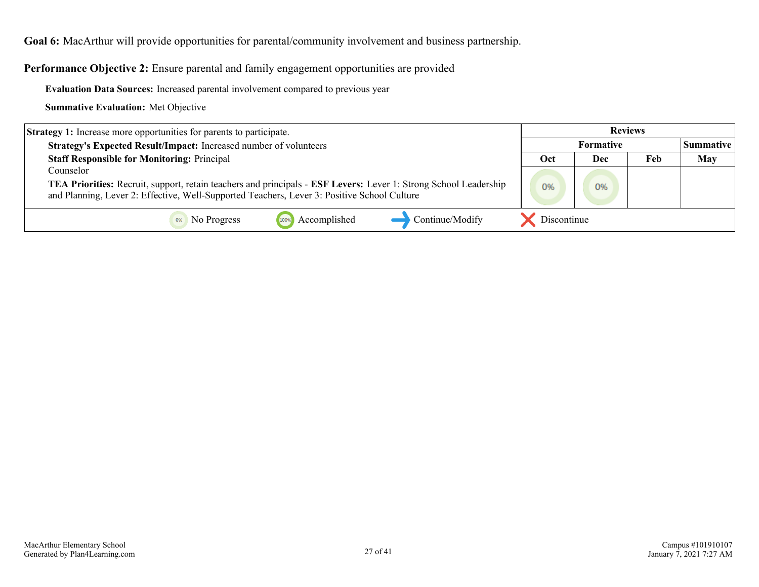**Performance Objective 2:** Ensure parental and family engagement opportunities are provided

**Evaluation Data Sources:** Increased parental involvement compared to previous year

| <b>Strategy 1:</b> Increase more opportunities for parents to participate.                                                                                                                                      | <b>Reviews</b> |     |     |                    |
|-----------------------------------------------------------------------------------------------------------------------------------------------------------------------------------------------------------------|----------------|-----|-----|--------------------|
| Strategy's Expected Result/Impact: Increased number of volunteers                                                                                                                                               | Formative      |     |     | <b>Summative</b> L |
| <b>Staff Responsible for Monitoring: Principal</b>                                                                                                                                                              | Oct            | Dec | Feb | <b>May</b>         |
| Counselor                                                                                                                                                                                                       |                |     |     |                    |
| TEA Priorities: Recruit, support, retain teachers and principals - ESF Levers: Lever 1: Strong School Leadership<br>and Planning, Lever 2: Effective, Well-Supported Teachers, Lever 3: Positive School Culture | 0%             | 0%  |     |                    |
| Continue/Modify<br>Accomplished<br>No Progress<br>100%                                                                                                                                                          | Discontinue    |     |     |                    |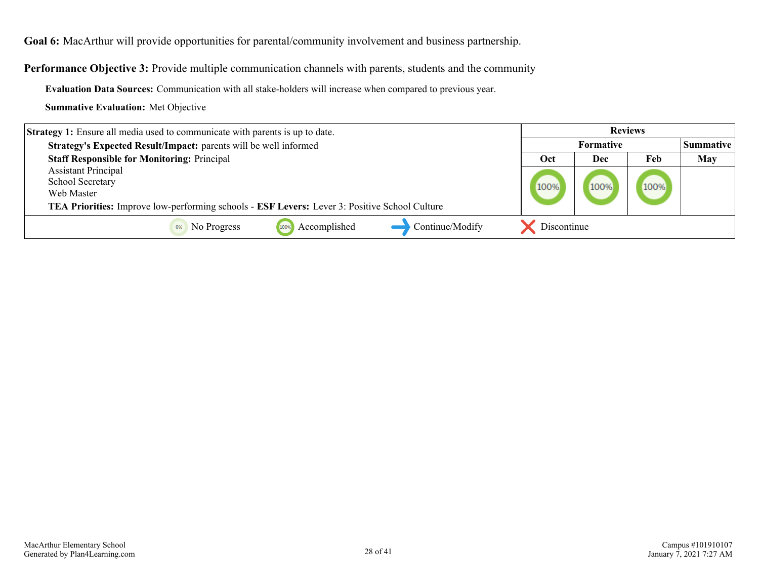**Performance Objective 3:** Provide multiple communication channels with parents, students and the community

**Evaluation Data Sources:** Communication with all stake-holders will increase when compared to previous year.

| <b>Strategy 1:</b> Ensure all media used to communicate with parents is up to date.                         | <b>Reviews</b>   |      |      |                  |
|-------------------------------------------------------------------------------------------------------------|------------------|------|------|------------------|
| Strategy's Expected Result/Impact: parents will be well informed                                            | <b>Formative</b> |      |      | <b>Summative</b> |
| <b>Staff Responsible for Monitoring: Principal</b>                                                          | Oct              | Dec  | Feb  | <b>May</b>       |
| <b>Assistant Principal</b>                                                                                  |                  |      |      |                  |
| School Secretary                                                                                            | 100%             | 100% | 100% |                  |
| Web Master                                                                                                  |                  |      |      |                  |
| <b>TEA Priorities:</b> Improve low-performing schools - <b>ESF Levers:</b> Lever 3: Positive School Culture |                  |      |      |                  |
| Continue/Modify<br>Accomplished<br>No Progress                                                              | Discontinue      |      |      |                  |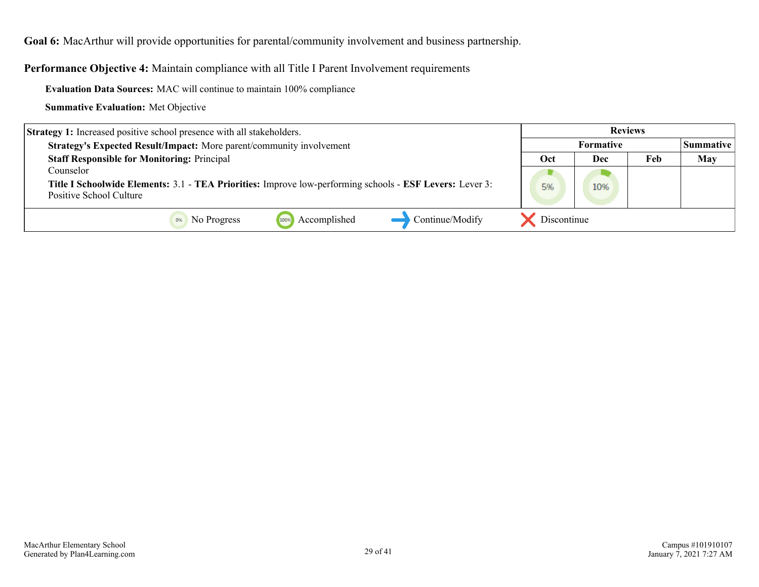**Performance Objective 4:** Maintain compliance with all Title I Parent Involvement requirements

**Evaluation Data Sources:** MAC will continue to maintain 100% compliance

| <b>Strategy 1:</b> Increased positive school presence with all stakeholders.                                                        |                   |     |  |                  |
|-------------------------------------------------------------------------------------------------------------------------------------|-------------------|-----|--|------------------|
| Strategy's Expected Result/Impact: More parent/community involvement                                                                | <b>Formative</b>  |     |  | <b>Summative</b> |
| <b>Staff Responsible for Monitoring: Principal</b>                                                                                  | Feb<br>Oct<br>Dec |     |  | <b>May</b>       |
| Counselor                                                                                                                           |                   |     |  |                  |
| Title I Schoolwide Elements: 3.1 - TEA Priorities: Improve low-performing schools - ESF Levers: Lever 3:<br>Positive School Culture | 5%                | 10% |  |                  |
| Continue/Modify<br>Accomplished<br>No Progress<br>100%                                                                              | Discontinue       |     |  |                  |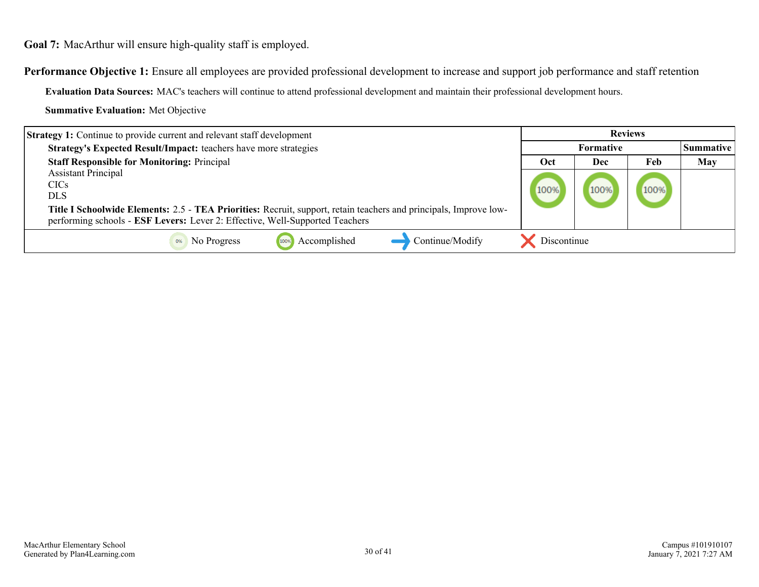<span id="page-29-0"></span>**Performance Objective 1:** Ensure all employees are provided professional development to increase and support job performance and staff retention

**Evaluation Data Sources:** MAC's teachers will continue to attend professional development and maintain their professional development hours.

| <b>Strategy 1:</b> Continue to provide current and relevant staff development                                     | <b>Reviews</b>   |      |      |                  |
|-------------------------------------------------------------------------------------------------------------------|------------------|------|------|------------------|
| Strategy's Expected Result/Impact: teachers have more strategies                                                  | <b>Formative</b> |      |      | <b>Summative</b> |
| <b>Staff Responsible for Monitoring: Principal</b>                                                                | Oct              | Dec  | Feb  | May              |
| <b>Assistant Principal</b>                                                                                        |                  |      |      |                  |
| <b>CICs</b>                                                                                                       | 100%             | 100% | 100% |                  |
| DLS.                                                                                                              |                  |      |      |                  |
| Title I Schoolwide Elements: 2.5 - TEA Priorities: Recruit, support, retain teachers and principals, Improve low- |                  |      |      |                  |
| performing schools - ESF Levers: Lever 2: Effective, Well-Supported Teachers                                      |                  |      |      |                  |
| Continue/Modify<br>No Progress<br>Accomplished                                                                    | Discontinue      |      |      |                  |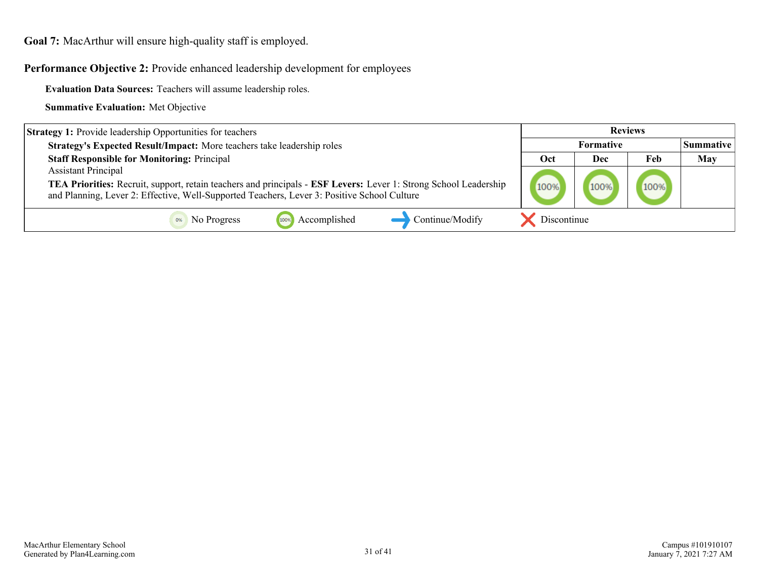**Performance Objective 2:** Provide enhanced leadership development for employees

**Evaluation Data Sources:** Teachers will assume leadership roles.

| <b>Strategy 1:</b> Provide leadership Opportunities for teachers                                                                                                                                                | <b>Reviews</b> |      |      |                    |
|-----------------------------------------------------------------------------------------------------------------------------------------------------------------------------------------------------------------|----------------|------|------|--------------------|
| Strategy's Expected Result/Impact: More teachers take leadership roles                                                                                                                                          | Formative      |      |      | <b> Summative_</b> |
| <b>Staff Responsible for Monitoring: Principal</b>                                                                                                                                                              | Oct            | Dec  | Feb  | May                |
| <b>Assistant Principal</b>                                                                                                                                                                                      |                |      |      |                    |
| TEA Priorities: Recruit, support, retain teachers and principals - ESF Levers: Lever 1: Strong School Leadership<br>and Planning, Lever 2: Effective, Well-Supported Teachers, Lever 3: Positive School Culture | 100%           | 100% | 100% |                    |
| Continue/Modify<br>Accomplished<br>No Progress<br>100%                                                                                                                                                          | Discontinue    |      |      |                    |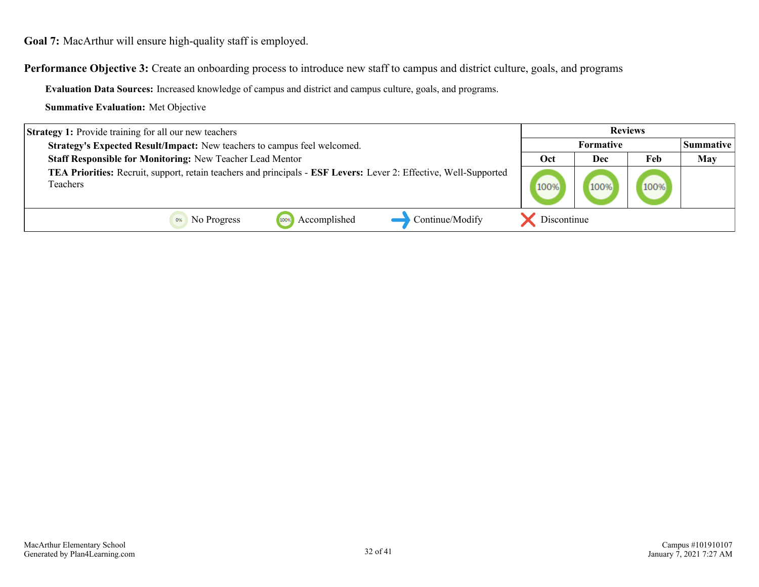**Performance Objective 3:** Create an onboarding process to introduce new staff to campus and district culture, goals, and programs

**Evaluation Data Sources:** Increased knowledge of campus and district and campus culture, goals, and programs.

| <b>Strategy 1:</b> Provide training for all our new teachers                                                                  |             |                  | <b>Reviews</b> |                  |
|-------------------------------------------------------------------------------------------------------------------------------|-------------|------------------|----------------|------------------|
| Strategy's Expected Result/Impact: New teachers to campus feel welcomed.                                                      |             | <b>Formative</b> |                | <b>Summative</b> |
| Staff Responsible for Monitoring: New Teacher Lead Mentor                                                                     | Oct         | Dec              | Feb            | <b>May</b>       |
| TEA Priorities: Recruit, support, retain teachers and principals - ESF Levers: Lever 2: Effective, Well-Supported<br>Teachers | 100%        | 100%             | 100%           |                  |
| Continue/Modify<br>Accomplished<br>No Progress<br>100%                                                                        | Discontinue |                  |                |                  |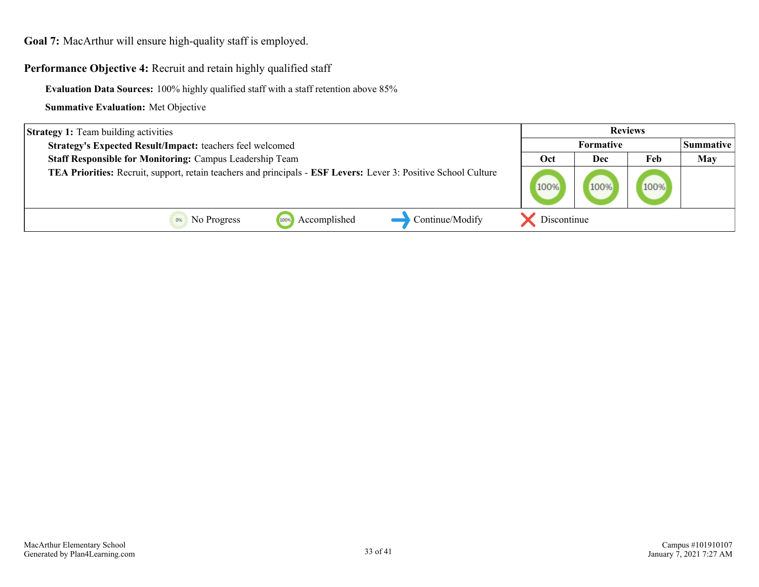#### Performance Objective 4: Recruit and retain highly qualified staff

**Evaluation Data Sources:** 100% highly qualified staff with a staff retention above 85%

| <b>Strategy 1:</b> Team building activities                                                                     |             | <b>Reviews</b>   |      |                  |
|-----------------------------------------------------------------------------------------------------------------|-------------|------------------|------|------------------|
| Strategy's Expected Result/Impact: teachers feel welcomed                                                       |             | <b>Formative</b> |      | <b>Summative</b> |
| <b>Staff Responsible for Monitoring: Campus Leadership Team</b>                                                 | Oct         | Dec              | Feb  | <b>May</b>       |
| TEA Priorities: Recruit, support, retain teachers and principals - ESF Levers: Lever 3: Positive School Culture | 100%        | 100%             | 100% |                  |
| Continue/Modify<br>Accomplished<br>No Progress<br>100%                                                          | Discontinue |                  |      |                  |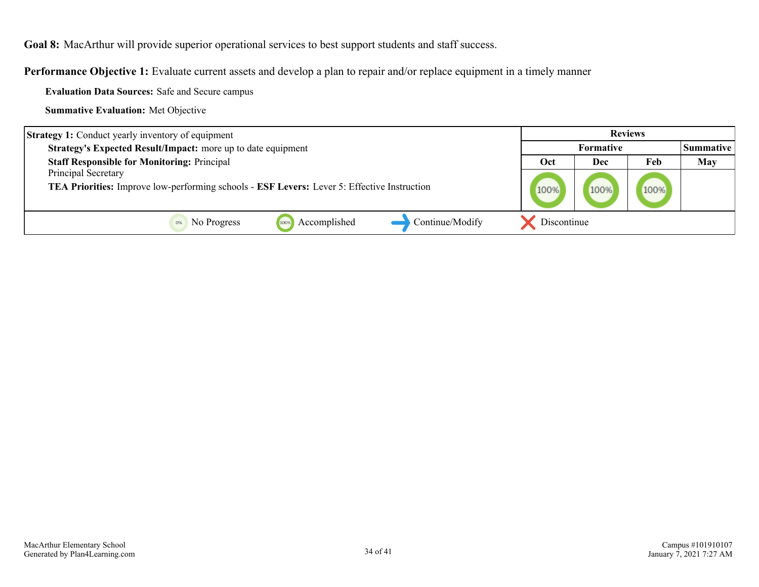<span id="page-33-0"></span>**Goal 8:** MacArthur will provide superior operational services to best support students and staff success.

**Performance Objective 1:** Evaluate current assets and develop a plan to repair and/or replace equipment in a timely manner

**Evaluation Data Sources:** Safe and Secure campus

| <b>Strategy 1:</b> Conduct yearly inventory of equipment                                    |             |                  | <b>Reviews</b> |                  |
|---------------------------------------------------------------------------------------------|-------------|------------------|----------------|------------------|
| Strategy's Expected Result/Impact: more up to date equipment                                |             | <b>Formative</b> |                | <i>Summative</i> |
| <b>Staff Responsible for Monitoring: Principal</b>                                          | Oct         | Dec              | Feb            | <b>May</b>       |
| Principal Secretary                                                                         |             |                  |                |                  |
| TEA Priorities: Improve low-performing schools - ESF Levers: Lever 5: Effective Instruction | 100%        | 100%             | 100%           |                  |
|                                                                                             |             |                  |                |                  |
| Continue/Modify<br>Accomplished<br>No Progress<br>100%                                      | Discontinue |                  |                |                  |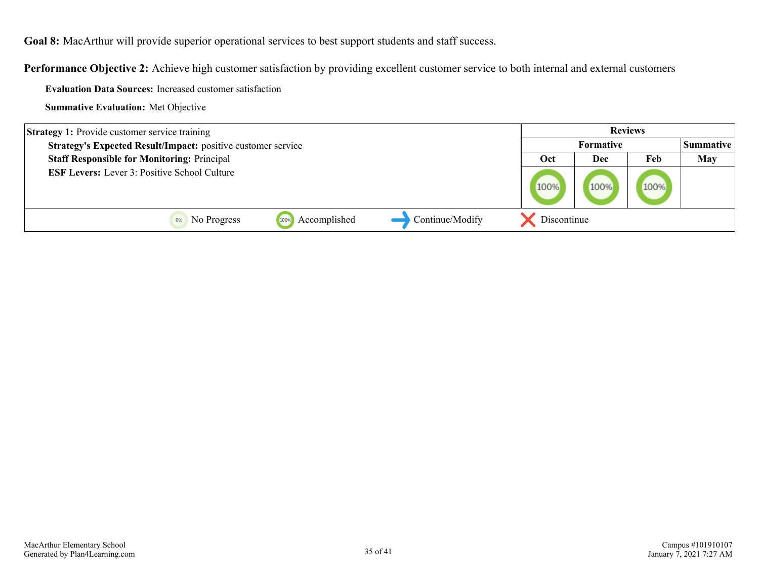**Goal 8:** MacArthur will provide superior operational services to best support students and staff success.

**Performance Objective 2:** Achieve high customer satisfaction by providing excellent customer service to both internal and external customers

**Evaluation Data Sources:** Increased customer satisfaction

| <b>Strategy 1:</b> Provide customer service training                |                      |                 |             |                  | <b>Reviews</b> |                  |
|---------------------------------------------------------------------|----------------------|-----------------|-------------|------------------|----------------|------------------|
| <b>Strategy's Expected Result/Impact:</b> positive customer service |                      |                 |             | <b>Formative</b> |                | <b>Summative</b> |
| <b>Staff Responsible for Monitoring: Principal</b>                  |                      |                 | Oct         | Dec              | Feb            | May              |
| <b>ESF Levers:</b> Lever 3: Positive School Culture                 |                      |                 | 100%        | 100%             | 100%           |                  |
| No Progress                                                         | Accomplished<br>100% | Continue/Modify | Discontinue |                  |                |                  |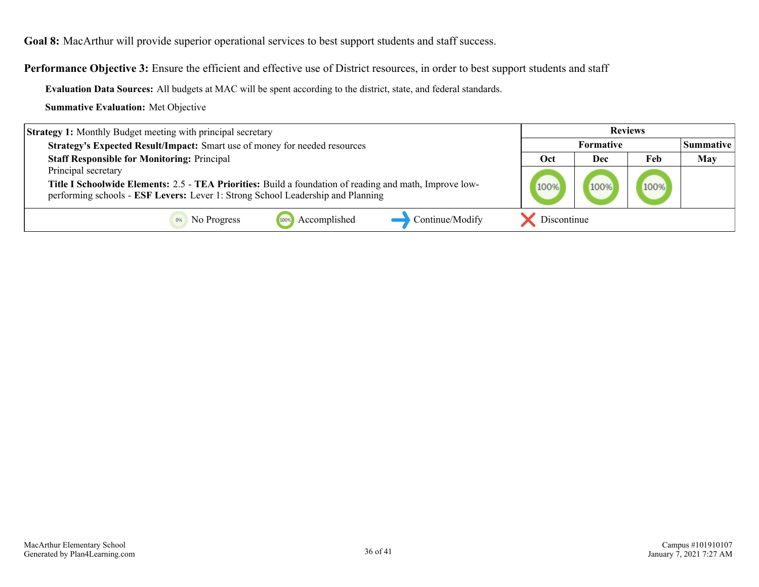**Goal 8:** MacArthur will provide superior operational services to best support students and staff success.

Performance Objective 3: Ensure the efficient and effective use of District resources, in order to best support students and staff

**Evaluation Data Sources:** All budgets at MAC will be spent according to the district, state, and federal standards.

| <b>Strategy 1:</b> Monthly Budget meeting with principal secretary                                                                                                                         |             | <b>Reviews</b>   |      |                    |
|--------------------------------------------------------------------------------------------------------------------------------------------------------------------------------------------|-------------|------------------|------|--------------------|
| Strategy's Expected Result/Impact: Smart use of money for needed resources                                                                                                                 |             | <b>Formative</b> |      | <b> Summative_</b> |
| <b>Staff Responsible for Monitoring: Principal</b>                                                                                                                                         | Oct         | Dec              | Feb  | May                |
| Principal secretary                                                                                                                                                                        |             |                  |      |                    |
| Title I Schoolwide Elements: 2.5 - TEA Priorities: Build a foundation of reading and math, Improve low-<br>performing schools - ESF Levers: Lever 1: Strong School Leadership and Planning | 100%        | 100%             | 100% |                    |
| Continue/Modify<br>Accomplished<br>No Progress<br>100%                                                                                                                                     | Discontinue |                  |      |                    |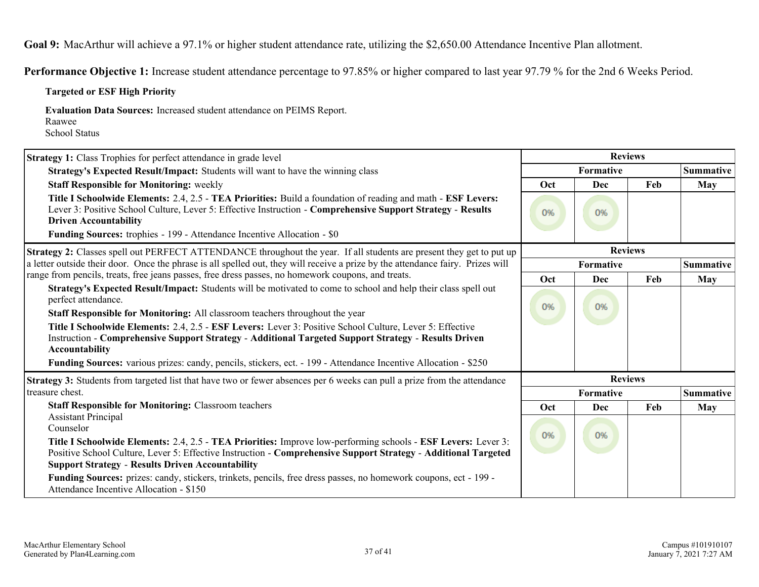<span id="page-36-0"></span>**Goal 9:** MacArthur will achieve a 97.1% or higher student attendance rate, utilizing the \$2,650.00 Attendance Incentive Plan allotment.

**Performance Objective 1:** Increase student attendance percentage to 97.85% or higher compared to last year 97.79 % for the 2nd 6 Weeks Period.

#### **Targeted or ESF High Priority**

**Evaluation Data Sources:** Increased student attendance on PEIMS Report. Raawee

School Status

| <b>Strategy 1:</b> Class Trophies for perfect attendance in grade level                                                                                                                                                                                                                                                                                                                                                                                                                                                                                                        |                | <b>Reviews</b>   |     |                  |  |
|--------------------------------------------------------------------------------------------------------------------------------------------------------------------------------------------------------------------------------------------------------------------------------------------------------------------------------------------------------------------------------------------------------------------------------------------------------------------------------------------------------------------------------------------------------------------------------|----------------|------------------|-----|------------------|--|
| Strategy's Expected Result/Impact: Students will want to have the winning class                                                                                                                                                                                                                                                                                                                                                                                                                                                                                                | Formative      |                  |     | <b>Summative</b> |  |
| <b>Staff Responsible for Monitoring: weekly</b>                                                                                                                                                                                                                                                                                                                                                                                                                                                                                                                                | Oct            | Dec              | Feb | May              |  |
| Title I Schoolwide Elements: 2.4, 2.5 - TEA Priorities: Build a foundation of reading and math - ESF Levers:<br>Lever 3: Positive School Culture, Lever 5: Effective Instruction - Comprehensive Support Strategy - Results<br><b>Driven Accountability</b><br>Funding Sources: trophies - 199 - Attendance Incentive Allocation - \$0                                                                                                                                                                                                                                         | 0%             | 0%               |     |                  |  |
| <b>Strategy 2:</b> Classes spell out PERFECT ATTENDANCE throughout the year. If all students are present they get to put up                                                                                                                                                                                                                                                                                                                                                                                                                                                    | <b>Reviews</b> |                  |     |                  |  |
| a letter outside their door. Once the phrase is all spelled out, they will receive a prize by the attendance fairy. Prizes will                                                                                                                                                                                                                                                                                                                                                                                                                                                |                | <b>Summative</b> |     |                  |  |
| range from pencils, treats, free jeans passes, free dress passes, no homework coupons, and treats.                                                                                                                                                                                                                                                                                                                                                                                                                                                                             | Oct            | Dec              | Feb | May              |  |
| Strategy's Expected Result/Impact: Students will be motivated to come to school and help their class spell out<br>perfect attendance.<br>Staff Responsible for Monitoring: All classroom teachers throughout the year<br>Title I Schoolwide Elements: 2.4, 2.5 - ESF Levers: Lever 3: Positive School Culture, Lever 5: Effective<br>Instruction - Comprehensive Support Strategy - Additional Targeted Support Strategy - Results Driven<br>Accountability<br>Funding Sources: various prizes: candy, pencils, stickers, ect. - 199 - Attendance Incentive Allocation - \$250 |                | 0%               |     |                  |  |
| <b>Strategy 3:</b> Students from targeted list that have two or fewer absences per 6 weeks can pull a prize from the attendance                                                                                                                                                                                                                                                                                                                                                                                                                                                | <b>Reviews</b> |                  |     |                  |  |
| treasure chest.                                                                                                                                                                                                                                                                                                                                                                                                                                                                                                                                                                |                | Formative        |     | <b>Summative</b> |  |
| <b>Staff Responsible for Monitoring: Classroom teachers</b>                                                                                                                                                                                                                                                                                                                                                                                                                                                                                                                    | Oct            | Dec              | Feb | May              |  |
| <b>Assistant Principal</b><br>Counselor<br>Title I Schoolwide Elements: 2.4, 2.5 - TEA Priorities: Improve low-performing schools - ESF Levers: Lever 3:<br>Positive School Culture, Lever 5: Effective Instruction - Comprehensive Support Strategy - Additional Targeted<br><b>Support Strategy - Results Driven Accountability</b>                                                                                                                                                                                                                                          | 0%             | 0%               |     |                  |  |
| Funding Sources: prizes: candy, stickers, trinkets, pencils, free dress passes, no homework coupons, ect - 199 -<br>Attendance Incentive Allocation - \$150                                                                                                                                                                                                                                                                                                                                                                                                                    |                |                  |     |                  |  |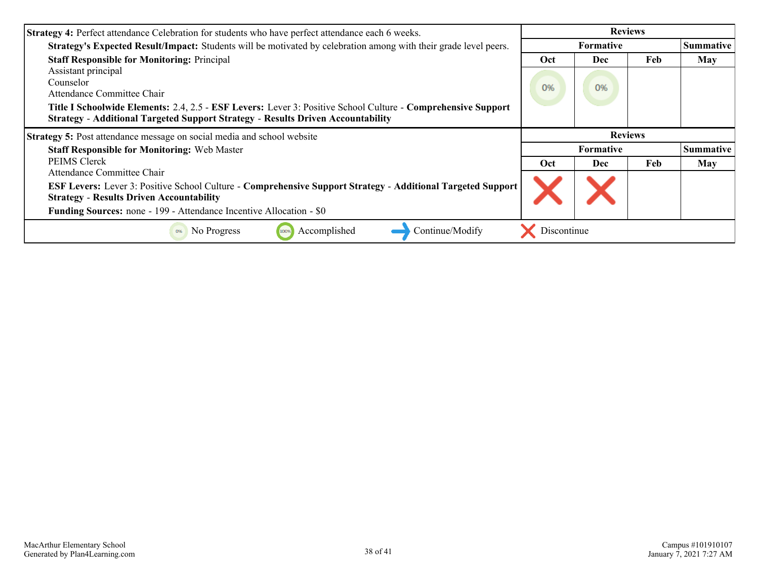| <b>Strategy 4: Perfect attendance Celebration for students who have perfect attendance each 6 weeks.</b>         | <b>Reviews</b> |                  |     |                  |
|------------------------------------------------------------------------------------------------------------------|----------------|------------------|-----|------------------|
| Strategy's Expected Result/Impact: Students will be motivated by celebration among with their grade level peers. |                | <b>Formative</b> |     | <b>Summative</b> |
| <b>Staff Responsible for Monitoring: Principal</b>                                                               |                | <b>Dec</b>       | Feb | <b>May</b>       |
| Assistant principal                                                                                              |                |                  |     |                  |
| Counselor                                                                                                        | 0%             | 0%               |     |                  |
| Attendance Committee Chair                                                                                       |                |                  |     |                  |
| Title I Schoolwide Elements: 2.4, 2.5 - ESF Levers: Lever 3: Positive School Culture - Comprehensive Support     |                |                  |     |                  |
| <b>Strategy - Additional Targeted Support Strategy - Results Driven Accountability</b>                           |                |                  |     |                  |
| Strategy 5: Post attendance message on social media and school website                                           |                | <b>Reviews</b>   |     |                  |
|                                                                                                                  |                |                  |     |                  |
| <b>Staff Responsible for Monitoring: Web Master</b>                                                              |                | <b>Formative</b> |     | <b>Summative</b> |
| <b>PEIMS</b> Clerck                                                                                              | Oct            | <b>Dec</b>       | Feb | <b>May</b>       |
| Attendance Committee Chair                                                                                       |                |                  |     |                  |
| ESF Levers: Lever 3: Positive School Culture - Comprehensive Support Strategy - Additional Targeted Support      |                |                  |     |                  |
| <b>Strategy - Results Driven Accountability</b>                                                                  |                |                  |     |                  |
| Funding Sources: none - 199 - Attendance Incentive Allocation - \$0                                              |                |                  |     |                  |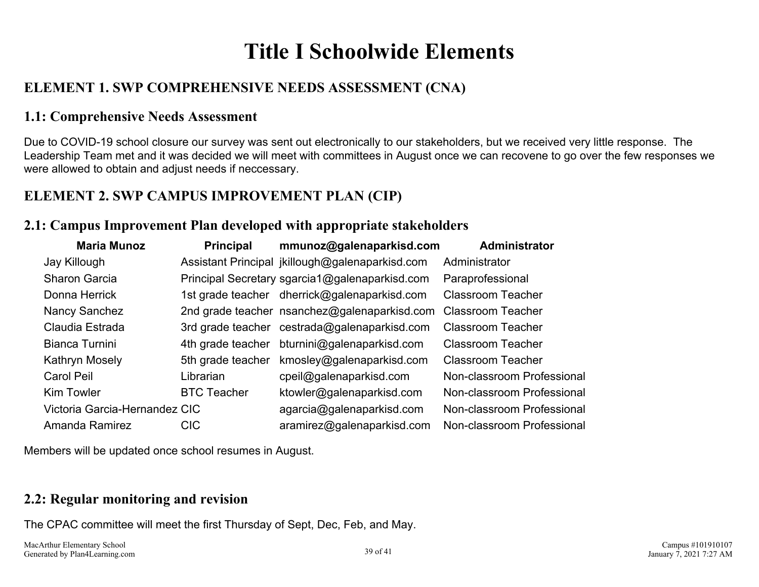## **Title I Schoolwide Elements**

## <span id="page-38-0"></span>**ELEMENT 1. SWP COMPREHENSIVE NEEDS ASSESSMENT (CNA)**

### **1.1: Comprehensive Needs Assessment**

Due to COVID-19 school closure our survey was sent out electronically to our stakeholders, but we received very little response. The Leadership Team met and it was decided we will meet with committees in August once we can recovene to go over the few responses we were allowed to obtain and adjust needs if neccessary.

### **ELEMENT 2. SWP CAMPUS IMPROVEMENT PLAN (CIP)**

### **2.1: Campus Improvement Plan developed with appropriate stakeholders**

| <b>Maria Munoz</b>            | <b>Principal</b>   | mmunoz@galenaparkisd.com                        | Administrator              |
|-------------------------------|--------------------|-------------------------------------------------|----------------------------|
| Jay Killough                  |                    | Assistant Principal jkillough@galenaparkisd.com | Administrator              |
| Sharon Garcia                 |                    | Principal Secretary sgarcia1@galenaparkisd.com  | Paraprofessional           |
| Donna Herrick                 |                    | 1st grade teacher dherrick@galenaparkisd.com    | <b>Classroom Teacher</b>   |
| Nancy Sanchez                 |                    | 2nd grade teacher nsanchez@galenaparkisd.com    | <b>Classroom Teacher</b>   |
| Claudia Estrada               |                    | 3rd grade teacher cestrada@galenaparkisd.com    | <b>Classroom Teacher</b>   |
| Bianca Turnini                | 4th grade teacher  | bturnini@galenaparkisd.com                      | <b>Classroom Teacher</b>   |
| Kathryn Mosely                | 5th grade teacher  | kmosley@galenaparkisd.com                       | <b>Classroom Teacher</b>   |
| Carol Peil                    | Librarian          | cpeil@galenaparkisd.com                         | Non-classroom Professional |
| <b>Kim Towler</b>             | <b>BTC Teacher</b> | ktowler@galenaparkisd.com                       | Non-classroom Professional |
| Victoria Garcia-Hernandez CIC |                    | agarcia@galenaparkisd.com                       | Non-classroom Professional |
| Amanda Ramirez                | <b>CIC</b>         | aramirez@galenaparkisd.com                      | Non-classroom Professional |

Members will be updated once school resumes in August.

### **2.2: Regular monitoring and revision**

The CPAC committee will meet the first Thursday of Sept, Dec, Feb, and May.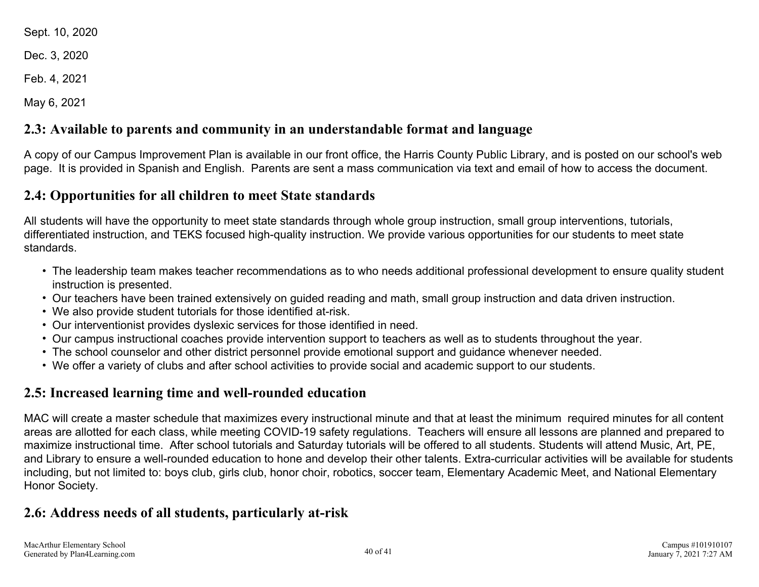<span id="page-39-0"></span>Sept. 10, 2020

Dec. 3, 2020

Feb. 4, 2021

May 6, 2021

## **2.3: Available to parents and community in an understandable format and language**

A copy of our Campus Improvement Plan is available in our front office, the Harris County Public Library, and is posted on our school's web page. It is provided in Spanish and English. Parents are sent a mass communication via text and email of how to access the document.

### **2.4: Opportunities for all children to meet State standards**

All students will have the opportunity to meet state standards through whole group instruction, small group interventions, tutorials, differentiated instruction, and TEKS focused high-quality instruction. We provide various opportunities for our students to meet state standards.

- The leadership team makes teacher recommendations as to who needs additional professional development to ensure quality student instruction is presented.
- Our teachers have been trained extensively on guided reading and math, small group instruction and data driven instruction.
- We also provide student tutorials for those identified at-risk.
- Our interventionist provides dyslexic services for those identified in need.
- Our campus instructional coaches provide intervention support to teachers as well as to students throughout the year.
- The school counselor and other district personnel provide emotional support and guidance whenever needed.
- We offer a variety of clubs and after school activities to provide social and academic support to our students.

## **2.5: Increased learning time and well-rounded education**

MAC will create a master schedule that maximizes every instructional minute and that at least the minimum required minutes for all content areas are allotted for each class, while meeting COVID-19 safety regulations. Teachers will ensure all lessons are planned and prepared to maximize instructional time. After school tutorials and Saturday tutorials will be offered to all students. Students will attend Music, Art, PE, and Library to ensure a well-rounded education to hone and develop their other talents. Extra-curricular activities will be available for students including, but not limited to: boys club, girls club, honor choir, robotics, soccer team, Elementary Academic Meet, and National Elementary Honor Society.

## **2.6: Address needs of all students, particularly at-risk**